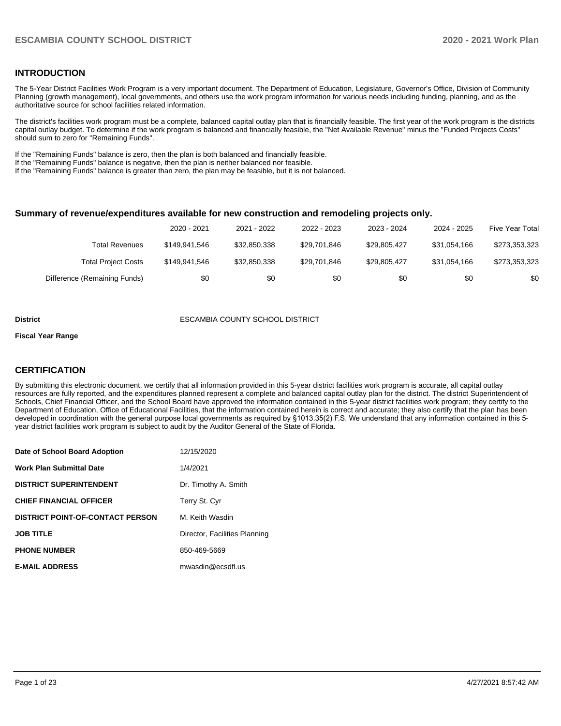#### **INTRODUCTION**

The 5-Year District Facilities Work Program is a very important document. The Department of Education, Legislature, Governor's Office, Division of Community Planning (growth management), local governments, and others use the work program information for various needs including funding, planning, and as the authoritative source for school facilities related information.

The district's facilities work program must be a complete, balanced capital outlay plan that is financially feasible. The first year of the work program is the districts capital outlay budget. To determine if the work program is balanced and financially feasible, the "Net Available Revenue" minus the "Funded Projects Costs" should sum to zero for "Remaining Funds".

If the "Remaining Funds" balance is zero, then the plan is both balanced and financially feasible.

If the "Remaining Funds" balance is negative, then the plan is neither balanced nor feasible.

If the "Remaining Funds" balance is greater than zero, the plan may be feasible, but it is not balanced.

#### **Summary of revenue/expenditures available for new construction and remodeling projects only.**

|                              | 2020 - 2021   | 2021 - 2022  | 2022 - 2023  | 2023 - 2024  | 2024 - 2025  | <b>Five Year Total</b> |
|------------------------------|---------------|--------------|--------------|--------------|--------------|------------------------|
| Total Revenues               | \$149.941.546 | \$32,850,338 | \$29,701,846 | \$29.805.427 | \$31.054.166 | \$273,353,323          |
| <b>Total Project Costs</b>   | \$149.941.546 | \$32,850,338 | \$29,701,846 | \$29.805.427 | \$31.054.166 | \$273,353,323          |
| Difference (Remaining Funds) | \$0           | \$0          | \$0          | \$0          | \$0          | \$0                    |

#### **District** ESCAMBIA COUNTY SCHOOL DISTRICT

#### **Fiscal Year Range**

### **CERTIFICATION**

By submitting this electronic document, we certify that all information provided in this 5-year district facilities work program is accurate, all capital outlay resources are fully reported, and the expenditures planned represent a complete and balanced capital outlay plan for the district. The district Superintendent of Schools, Chief Financial Officer, and the School Board have approved the information contained in this 5-year district facilities work program; they certify to the Department of Education, Office of Educational Facilities, that the information contained herein is correct and accurate; they also certify that the plan has been developed in coordination with the general purpose local governments as required by §1013.35(2) F.S. We understand that any information contained in this 5 year district facilities work program is subject to audit by the Auditor General of the State of Florida.

| Date of School Board Adoption           | 12/15/2020                    |
|-----------------------------------------|-------------------------------|
| <b>Work Plan Submittal Date</b>         | 1/4/2021                      |
| <b>DISTRICT SUPERINTENDENT</b>          | Dr. Timothy A. Smith          |
| <b>CHIEF FINANCIAL OFFICER</b>          | Terry St. Cyr                 |
| <b>DISTRICT POINT-OF-CONTACT PERSON</b> | M. Keith Wasdin               |
| <b>JOB TITLE</b>                        | Director, Facilities Planning |
| <b>PHONE NUMBER</b>                     | 850-469-5669                  |
| <b>E-MAIL ADDRESS</b>                   | mwasdin@ecsdfl.us             |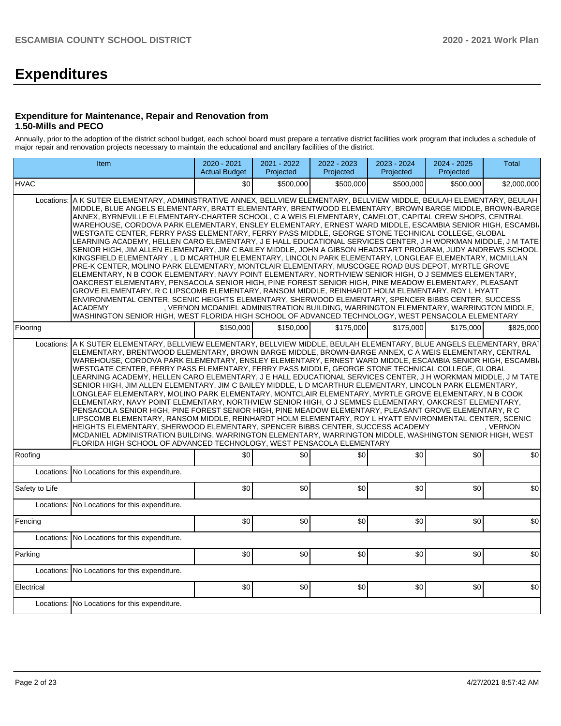# **Expenditures**

#### **Expenditure for Maintenance, Repair and Renovation from 1.50-Mills and PECO**

Annually, prior to the adoption of the district school budget, each school board must prepare a tentative district facilities work program that includes a schedule of major repair and renovation projects necessary to maintain the educational and ancillary facilities of the district.

|                                                                                                                                                                                                                                                                                                                                                                                                                                                                                                                                                                                                                                                                                                                                                                                                                                                                                                                                                                                                                                                                                                                                                                                                                                                                                                                                                                                                                                                                                                                                                                                                                                                               | Item                                          | 2020 - 2021<br><b>Actual Budget</b> | 2021 - 2022<br>Projected | 2022 - 2023<br>Projected | 2023 - 2024<br>Projected | 2024 - 2025<br>Projected | <b>Total</b> |  |
|---------------------------------------------------------------------------------------------------------------------------------------------------------------------------------------------------------------------------------------------------------------------------------------------------------------------------------------------------------------------------------------------------------------------------------------------------------------------------------------------------------------------------------------------------------------------------------------------------------------------------------------------------------------------------------------------------------------------------------------------------------------------------------------------------------------------------------------------------------------------------------------------------------------------------------------------------------------------------------------------------------------------------------------------------------------------------------------------------------------------------------------------------------------------------------------------------------------------------------------------------------------------------------------------------------------------------------------------------------------------------------------------------------------------------------------------------------------------------------------------------------------------------------------------------------------------------------------------------------------------------------------------------------------|-----------------------------------------------|-------------------------------------|--------------------------|--------------------------|--------------------------|--------------------------|--------------|--|
| <b>HVAC</b>                                                                                                                                                                                                                                                                                                                                                                                                                                                                                                                                                                                                                                                                                                                                                                                                                                                                                                                                                                                                                                                                                                                                                                                                                                                                                                                                                                                                                                                                                                                                                                                                                                                   |                                               | \$0                                 | \$500,000                | \$500,000                | \$500.000                | \$500,000                | \$2,000,000  |  |
| A K SUTER ELEMENTARY, ADMINISTRATIVE ANNEX, BELLVIEW ELEMENTARY, BELLVIEW MIDDLE, BEULAH ELEMENTARY, BEULAH<br>Locations:<br>MIDDLE, BLUE ANGELS ELEMENTARY, BRATT ELEMENTARY, BRENTWOOD ELEMENTARY, BROWN BARGE MIDDLE, BROWN-BARGE<br>ANNEX, BYRNEVILLE ELEMENTARY-CHARTER SCHOOL, C A WEIS ELEMENTARY, CAMELOT, CAPITAL CREW SHOPS, CENTRAL<br>WAREHOUSE, CORDOVA PARK ELEMENTARY, ENSLEY ELEMENTARY, ERNEST WARD MIDDLE, ESCAMBIA SENIOR HIGH, ESCAMBI/<br>WESTGATE CENTER, FERRY PASS ELEMENTARY, FERRY PASS MIDDLE, GEORGE STONE TECHNICAL COLLEGE, GLOBAL<br>LEARNING ACADEMY, HELLEN CARO ELEMENTARY, J E HALL EDUCATIONAL SERVICES CENTER, J H WORKMAN MIDDLE, J M TATE<br>SENIOR HIGH, JIM ALLEN ELEMENTARY, JIM C BAILEY MIDDLE, JOHN A GIBSON HEADSTART PROGRAM, JUDY ANDREWS SCHOOL,<br>KINGSFIELD ELEMENTARY, L D MCARTHUR ELEMENTARY, LINCOLN PARK ELEMENTARY, LONGLEAF ELEMENTARY, MCMILLAN<br>PRE-K CENTER, MOLINO PARK ELEMENTARY, MONTCLAIR ELEMENTARY, MUSCOGEE ROAD BUS DEPOT, MYRTLE GROVE<br>ELEMENTARY, N B COOK ELEMENTARY, NAVY POINT ELEMENTARY, NORTHVIEW SENIOR HIGH, O J SEMMES ELEMENTARY,<br>OAKCREST ELEMENTARY, PENSACOLA SENIOR HIGH, PINE FOREST SENIOR HIGH, PINE MEADOW ELEMENTARY, PLEASANT<br>GROVE ELEMENTARY, R C LIPSCOMB ELEMENTARY, RANSOM MIDDLE, REINHARDT HOLM ELEMENTARY, ROY L HYATT<br>ENVIRONMENTAL CENTER, SCENIC HEIGHTS ELEMENTARY, SHERWOOD ELEMENTARY, SPENCER BIBBS CENTER, SUCCESS<br><b>ACADEMY</b><br>, VERNON MCDANIEL ADMINISTRATION BUILDING, WARRINGTON ELEMENTARY, WARRINGTON MIDDLE,<br>WASHINGTON SENIOR HIGH, WEST FLORIDA HIGH SCHOOL OF ADVANCED TECHNOLOGY, WEST PENSACOLA ELEMENTARY |                                               |                                     |                          |                          |                          |                          |              |  |
| Flooring                                                                                                                                                                                                                                                                                                                                                                                                                                                                                                                                                                                                                                                                                                                                                                                                                                                                                                                                                                                                                                                                                                                                                                                                                                                                                                                                                                                                                                                                                                                                                                                                                                                      |                                               | \$150,000                           | \$150,000                | \$175,000                | \$175,000                | \$175,000                | \$825,000    |  |
| A K SUTER ELEMENTARY, BELLVIEW ELEMENTARY, BELLVIEW MIDDLE, BEULAH ELEMENTARY, BLUE ANGELS ELEMENTARY, BRAT<br>Locations:<br>ELEMENTARY, BRENTWOOD ELEMENTARY, BROWN BARGE MIDDLE, BROWN-BARGE ANNEX, C A WEIS ELEMENTARY, CENTRAL<br>WAREHOUSE, CORDOVA PARK ELEMENTARY, ENSLEY ELEMENTARY, ERNEST WARD MIDDLE, ESCAMBIA SENIOR HIGH, ESCAMBI/<br>WESTGATE CENTER, FERRY PASS ELEMENTARY, FERRY PASS MIDDLE, GEORGE STONE TECHNICAL COLLEGE, GLOBAL<br>LEARNING ACADEMY, HELLEN CARO ELEMENTARY, J E HALL EDUCATIONAL SERVICES CENTER, J H WORKMAN MIDDLE, J M TATE<br>SENIOR HIGH, JIM ALLEN ELEMENTARY, JIM C BAILEY MIDDLE, L D MCARTHUR ELEMENTARY, LINCOLN PARK ELEMENTARY,<br>LONGLEAF ELEMENTARY, MOLINO PARK ELEMENTARY, MONTCLAIR ELEMENTARY, MYRTLE GROVE ELEMENTARY, N B COOK<br>ELEMENTARY, NAVY POINT ELEMENTARY, NORTHVIEW SENIOR HIGH, O J SEMMES ELEMENTARY, OAKCREST ELEMENTARY,<br>PENSACOLA SENIOR HIGH, PINE FOREST SENIOR HIGH, PINE MEADOW ELEMENTARY, PLEASANT GROVE ELEMENTARY, RC<br>LIPSCOMB ELEMENTARY, RANSOM MIDDLE, REINHARDT HOLM ELEMENTARY, ROY L HYATT ENVIRONMENTAL CENTER, SCENIC<br>HEIGHTS ELEMENTARY, SHERWOOD ELEMENTARY, SPENCER BIBBS CENTER, SUCCESS ACADEMY<br>. VERNON<br>MCDANIEL ADMINISTRATION BUILDING, WARRINGTON ELEMENTARY, WARRINGTON MIDDLE, WASHINGTON SENIOR HIGH, WEST<br>FLORIDA HIGH SCHOOL OF ADVANCED TECHNOLOGY, WEST PENSACOLA ELEMENTARY                                                                                                                                                                                                                                                     |                                               |                                     |                          |                          |                          |                          |              |  |
| Roofing                                                                                                                                                                                                                                                                                                                                                                                                                                                                                                                                                                                                                                                                                                                                                                                                                                                                                                                                                                                                                                                                                                                                                                                                                                                                                                                                                                                                                                                                                                                                                                                                                                                       |                                               | \$0                                 | \$0                      | \$0                      | \$0                      | \$0                      | \$0          |  |
| Locations:                                                                                                                                                                                                                                                                                                                                                                                                                                                                                                                                                                                                                                                                                                                                                                                                                                                                                                                                                                                                                                                                                                                                                                                                                                                                                                                                                                                                                                                                                                                                                                                                                                                    | No Locations for this expenditure.            |                                     |                          |                          |                          |                          |              |  |
| Safety to Life                                                                                                                                                                                                                                                                                                                                                                                                                                                                                                                                                                                                                                                                                                                                                                                                                                                                                                                                                                                                                                                                                                                                                                                                                                                                                                                                                                                                                                                                                                                                                                                                                                                |                                               | \$0                                 | \$0                      | \$0                      | \$0                      | \$0                      | \$0          |  |
| Locations:                                                                                                                                                                                                                                                                                                                                                                                                                                                                                                                                                                                                                                                                                                                                                                                                                                                                                                                                                                                                                                                                                                                                                                                                                                                                                                                                                                                                                                                                                                                                                                                                                                                    | No Locations for this expenditure.            |                                     |                          |                          |                          |                          |              |  |
| Fencing                                                                                                                                                                                                                                                                                                                                                                                                                                                                                                                                                                                                                                                                                                                                                                                                                                                                                                                                                                                                                                                                                                                                                                                                                                                                                                                                                                                                                                                                                                                                                                                                                                                       |                                               | \$0                                 | \$0                      | \$0                      | \$0                      | \$0                      | \$0          |  |
| Locations:                                                                                                                                                                                                                                                                                                                                                                                                                                                                                                                                                                                                                                                                                                                                                                                                                                                                                                                                                                                                                                                                                                                                                                                                                                                                                                                                                                                                                                                                                                                                                                                                                                                    | No Locations for this expenditure.            |                                     |                          |                          |                          |                          |              |  |
| Parking                                                                                                                                                                                                                                                                                                                                                                                                                                                                                                                                                                                                                                                                                                                                                                                                                                                                                                                                                                                                                                                                                                                                                                                                                                                                                                                                                                                                                                                                                                                                                                                                                                                       |                                               | \$0                                 | \$0                      | \$0                      | \$0                      | \$0                      | \$0          |  |
| Locations:                                                                                                                                                                                                                                                                                                                                                                                                                                                                                                                                                                                                                                                                                                                                                                                                                                                                                                                                                                                                                                                                                                                                                                                                                                                                                                                                                                                                                                                                                                                                                                                                                                                    | No Locations for this expenditure.            |                                     |                          |                          |                          |                          |              |  |
| Electrical                                                                                                                                                                                                                                                                                                                                                                                                                                                                                                                                                                                                                                                                                                                                                                                                                                                                                                                                                                                                                                                                                                                                                                                                                                                                                                                                                                                                                                                                                                                                                                                                                                                    |                                               | \$0                                 | \$0                      | \$0                      | \$0                      | \$0                      | \$0          |  |
|                                                                                                                                                                                                                                                                                                                                                                                                                                                                                                                                                                                                                                                                                                                                                                                                                                                                                                                                                                                                                                                                                                                                                                                                                                                                                                                                                                                                                                                                                                                                                                                                                                                               | Locations: No Locations for this expenditure. |                                     |                          |                          |                          |                          |              |  |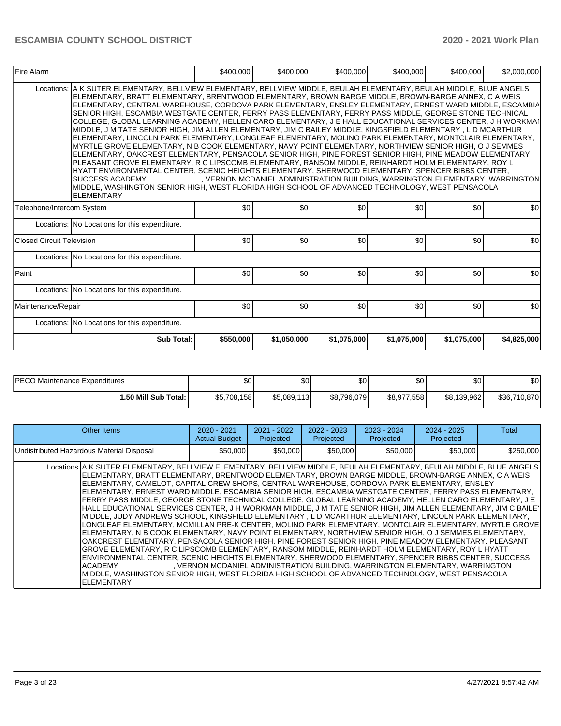| Fire Alarm                |                                                                                                                                                                                                                                                                                                                                                                                                                                                                                                                                                                                                                                                                                                                                                                                                                                                                                                                                                                                                                                                                                                                                                                                                                                                                                                                                                                      | \$400,000 | \$400,000   | \$400,000                                                                    | \$400,000   | \$400,000   | \$2,000,000 |  |
|---------------------------|----------------------------------------------------------------------------------------------------------------------------------------------------------------------------------------------------------------------------------------------------------------------------------------------------------------------------------------------------------------------------------------------------------------------------------------------------------------------------------------------------------------------------------------------------------------------------------------------------------------------------------------------------------------------------------------------------------------------------------------------------------------------------------------------------------------------------------------------------------------------------------------------------------------------------------------------------------------------------------------------------------------------------------------------------------------------------------------------------------------------------------------------------------------------------------------------------------------------------------------------------------------------------------------------------------------------------------------------------------------------|-----------|-------------|------------------------------------------------------------------------------|-------------|-------------|-------------|--|
| Locations:                | A K SUTER ELEMENTARY. BELLVIEW ELEMENTARY. BELLVIEW MIDDLE. BEULAH ELEMENTARY. BEULAH MIDDLE. BLUE ANGELS<br>ELEMENTARY, BRATT ELEMENTARY, BRENTWOOD ELEMENTARY, BROWN BARGE MIDDLE, BROWN-BARGE ANNEX, C A WEIS<br>ELEMENTARY, CENTRAL WAREHOUSE, CORDOVA PARK ELEMENTARY, ENSLEY ELEMENTARY, ERNEST WARD MIDDLE, ESCAMBIA<br>SENIOR HIGH, ESCAMBIA WESTGATE CENTER, FERRY PASS ELEMENTARY, FERRY PASS MIDDLE, GEORGE STONE TECHNICAL<br>COLLEGE, GLOBAL LEARNING ACADEMY, HELLEN CARO ELEMENTARY, J E HALL EDUCATIONAL SERVICES CENTER, J H WORKMAN<br>MIDDLE, J M TATE SENIOR HIGH, JIM ALLEN ELEMENTARY, JIM C BAILEY MIDDLE, KINGSFIELD ELEMENTARY, L D MCARTHUR<br>ELEMENTARY, LINCOLN PARK ELEMENTARY, LONGLEAF ELEMENTARY, MOLINO PARK ELEMENTARY, MONTCLAIR ELEMENTARY,<br>MYRTLE GROVE ELEMENTARY, N B COOK ELEMENTARY, NAVY POINT ELEMENTARY, NORTHVIEW SENIOR HIGH, O J SEMMES<br>ELEMENTARY, OAKCREST ELEMENTARY, PENSACOLA SENIOR HIGH, PINE FOREST SENIOR HIGH, PINE MEADOW ELEMENTARY,<br>PLEASANT GROVE ELEMENTARY, R C LIPSCOMB ELEMENTARY, RANSOM MIDDLE, REINHARDT HOLM ELEMENTARY, ROY L<br>HYATT ENVIRONMENTAL CENTER, SCENIC HEIGHTS ELEMENTARY, SHERWOOD ELEMENTARY, SPENCER BIBBS CENTER,<br><b>SUCCESS ACADEMY</b><br>MIDDLE, WASHINGTON SENIOR HIGH, WEST FLORIDA HIGH SCHOOL OF ADVANCED TECHNOLOGY, WEST PENSACOLA<br><b>ELEMENTARY</b> |           |             | , VERNON MCDANIEL ADMINISTRATION BUILDING, WARRINGTON ELEMENTARY, WARRINGTON |             |             |             |  |
| Telephone/Intercom System |                                                                                                                                                                                                                                                                                                                                                                                                                                                                                                                                                                                                                                                                                                                                                                                                                                                                                                                                                                                                                                                                                                                                                                                                                                                                                                                                                                      | \$0       | \$0         | \$0                                                                          | \$0         | \$0         | \$0         |  |
|                           | Locations: No Locations for this expenditure.                                                                                                                                                                                                                                                                                                                                                                                                                                                                                                                                                                                                                                                                                                                                                                                                                                                                                                                                                                                                                                                                                                                                                                                                                                                                                                                        |           |             |                                                                              |             |             |             |  |
| Closed Circuit Television |                                                                                                                                                                                                                                                                                                                                                                                                                                                                                                                                                                                                                                                                                                                                                                                                                                                                                                                                                                                                                                                                                                                                                                                                                                                                                                                                                                      | \$0       | \$0         | \$0                                                                          | \$0         | \$0         | \$0         |  |
|                           | Locations: No Locations for this expenditure.                                                                                                                                                                                                                                                                                                                                                                                                                                                                                                                                                                                                                                                                                                                                                                                                                                                                                                                                                                                                                                                                                                                                                                                                                                                                                                                        |           |             |                                                                              |             |             |             |  |
| Paint                     |                                                                                                                                                                                                                                                                                                                                                                                                                                                                                                                                                                                                                                                                                                                                                                                                                                                                                                                                                                                                                                                                                                                                                                                                                                                                                                                                                                      | \$0       | \$0         | \$0                                                                          | \$0         | \$0         | \$0         |  |
|                           | Locations: No Locations for this expenditure.                                                                                                                                                                                                                                                                                                                                                                                                                                                                                                                                                                                                                                                                                                                                                                                                                                                                                                                                                                                                                                                                                                                                                                                                                                                                                                                        |           |             |                                                                              |             |             |             |  |
| Maintenance/Repair        |                                                                                                                                                                                                                                                                                                                                                                                                                                                                                                                                                                                                                                                                                                                                                                                                                                                                                                                                                                                                                                                                                                                                                                                                                                                                                                                                                                      | \$0       | \$0         | \$0                                                                          | \$0         | \$0         | \$0         |  |
|                           | Locations: No Locations for this expenditure.                                                                                                                                                                                                                                                                                                                                                                                                                                                                                                                                                                                                                                                                                                                                                                                                                                                                                                                                                                                                                                                                                                                                                                                                                                                                                                                        |           |             |                                                                              |             |             |             |  |
|                           | <b>Sub Total:</b>                                                                                                                                                                                                                                                                                                                                                                                                                                                                                                                                                                                                                                                                                                                                                                                                                                                                                                                                                                                                                                                                                                                                                                                                                                                                                                                                                    | \$550,000 | \$1,050,000 | \$1,075,000                                                                  | \$1,075,000 | \$1,075,000 | \$4,825,000 |  |

| <b>IPECO Maintenance Expenditures</b> | ሖጣ<br>υΨ    | ሶስ<br>JU.    | \$0 <sub>1</sub> | \$0         | \$0         | \$0          |
|---------------------------------------|-------------|--------------|------------------|-------------|-------------|--------------|
| 1.50 Mill Sub Total: I                | \$5,708,158 | \$5,089,113] | \$8,796,079      | \$8,977,558 | \$8,139,962 | \$36,710,870 |

| Other Items                                                                                                                                                                                                                                                                                                                                                                                                                                                                                                                                                                                                                                                                                                                                                                                                                                                                                                                                                                                                                                                                                                                                                                                                                                                                                                                                                                                                                                                     | $2020 - 2021$<br><b>Actual Budget</b> | $2021 - 2022$<br>Projected | $2022 - 2023$<br>Projected | 2023 - 2024<br>Projected | 2024 - 2025<br>Projected                                                     | Total     |
|-----------------------------------------------------------------------------------------------------------------------------------------------------------------------------------------------------------------------------------------------------------------------------------------------------------------------------------------------------------------------------------------------------------------------------------------------------------------------------------------------------------------------------------------------------------------------------------------------------------------------------------------------------------------------------------------------------------------------------------------------------------------------------------------------------------------------------------------------------------------------------------------------------------------------------------------------------------------------------------------------------------------------------------------------------------------------------------------------------------------------------------------------------------------------------------------------------------------------------------------------------------------------------------------------------------------------------------------------------------------------------------------------------------------------------------------------------------------|---------------------------------------|----------------------------|----------------------------|--------------------------|------------------------------------------------------------------------------|-----------|
| Undistributed Hazardous Material Disposal                                                                                                                                                                                                                                                                                                                                                                                                                                                                                                                                                                                                                                                                                                                                                                                                                                                                                                                                                                                                                                                                                                                                                                                                                                                                                                                                                                                                                       | \$50,000                              | \$50,000                   | \$50,000                   | \$50,000                 | \$50,000                                                                     | \$250,000 |
| Locations A K SUTER ELEMENTARY, BELLVIEW ELEMENTARY, BELLVIEW MIDDLE, BEULAH ELEMENTARY, BEULAH MIDDLE, BLUE ANGELS<br>IELEMENTARY. BRATT ELEMENTARY. BRENTWOOD ELEMENTARY. BROWN BARGE MIDDLE. BROWN-BARGE ANNEX. C A WEIS<br>IELEMENTARY. CAMELOT. CAPITAL CREW SHOPS. CENTRAL WAREHOUSE. CORDOVA PARK ELEMENTARY. ENSLEY<br>ELEMENTARY, ERNEST WARD MIDDLE, ESCAMBIA SENIOR HIGH, ESCAMBIA WESTGATE CENTER, FERRY PASS ELEMENTARY,<br>FERRY PASS MIDDLE, GEORGE STONE TECHNICAL COLLEGE, GLOBAL LEARNING ACADEMY, HELLEN CARO ELEMENTARY, J E<br>HALL EDUCATIONAL SERVICES CENTER, J H WORKMAN MIDDLE, J M TATE SENIOR HIGH, JIM ALLEN ELEMENTARY, JIM C BAILEY<br>MIDDLE. JUDY ANDREWS SCHOOL. KINGSFIELD ELEMENTARY . L D MCARTHUR ELEMENTARY. LINCOLN PARK ELEMENTARY.<br>LONGLEAF ELEMENTARY. MCMILLAN PRE-K CENTER. MOLINO PARK ELEMENTARY. MONTCLAIR ELEMENTARY. MYRTLE GROVE<br>ELEMENTARY, N B COOK ELEMENTARY, NAVY POINT ELEMENTARY, NORTHVIEW SENIOR HIGH, O J SEMMES ELEMENTARY,<br>IOAKCREST ELEMENTARY. PENSACOLA SENIOR HIGH. PINE FOREST SENIOR HIGH. PINE MEADOW ELEMENTARY. PLEASANT<br>IGROVE ELEMENTARY. R C LIPSCOMB ELEMENTARY. RANSOM MIDDLE. REINHARDT HOLM ELEMENTARY. ROY L HYATT<br>ENVIRONMENTAL CENTER, SCENIC HEIGHTS ELEMENTARY, SHERWOOD ELEMENTARY, SPENCER BIBBS CENTER, SUCCESS<br><b>ACADEMY</b><br>MIDDLE, WASHINGTON SENIOR HIGH, WEST FLORIDA HIGH SCHOOL OF ADVANCED TECHNOLOGY, WEST PENSACOLA<br><b>ELEMENTARY</b> |                                       |                            |                            |                          | , VERNON MCDANIEL ADMINISTRATION BUILDING, WARRINGTON ELEMENTARY, WARRINGTON |           |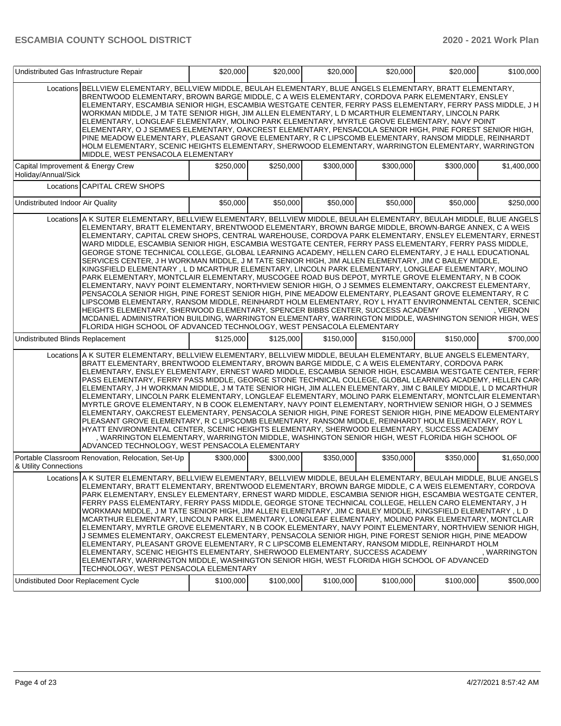| Undistributed Gas Infrastructure Repair                                                                                                                                                                                                                                                                                                                                                                                                                                                                                                                                                                                                                                                                                                                                                                                                                                                                                                                                                                                                                                                                                                                                                                                                                                                                                                                                                                                                                                          | \$20,000  | \$20,000  | \$20,000  | \$20,000  | \$20,000  | \$100,000    |
|----------------------------------------------------------------------------------------------------------------------------------------------------------------------------------------------------------------------------------------------------------------------------------------------------------------------------------------------------------------------------------------------------------------------------------------------------------------------------------------------------------------------------------------------------------------------------------------------------------------------------------------------------------------------------------------------------------------------------------------------------------------------------------------------------------------------------------------------------------------------------------------------------------------------------------------------------------------------------------------------------------------------------------------------------------------------------------------------------------------------------------------------------------------------------------------------------------------------------------------------------------------------------------------------------------------------------------------------------------------------------------------------------------------------------------------------------------------------------------|-----------|-----------|-----------|-----------|-----------|--------------|
| Locations BELLVIEW ELEMENTARY, BELLVIEW MIDDLE, BEULAH ELEMENTARY, BLUE ANGELS ELEMENTARY, BRATT ELEMENTARY,<br>BRENTWOOD ELEMENTARY, BROWN BARGE MIDDLE, C A WEIS ELEMENTARY, CORDOVA PARK ELEMENTARY, ENSLEY<br>ELEMENTARY, ESCAMBIA SENIOR HIGH, ESCAMBIA WESTGATE CENTER, FERRY PASS ELEMENTARY, FERRY PASS MIDDLE, J H<br>WORKMAN MIDDLE, J M TATE SENIOR HIGH, JIM ALLEN ELEMENTARY, L D MCARTHUR ELEMENTARY, LINCOLN PARK<br>ELEMENTARY, LONGLEAF ELEMENTARY, MOLINO PARK ELEMENTARY, MYRTLE GROVE ELEMENTARY, NAVY POINT<br>ELEMENTARY, O J SEMMES ELEMENTARY, OAKCREST ELEMENTARY, PENSACOLA SENIOR HIGH, PINE FOREST SENIOR HIGH,<br>PINE MEADOW ELEMENTARY, PLEASANT GROVE ELEMENTARY, R C LIPSCOMB ELEMENTARY, RANSOM MIDDLE, REINHARDT<br>HOLM ELEMENTARY, SCENIC HEIGHTS ELEMENTARY, SHERWOOD ELEMENTARY, WARRINGTON ELEMENTARY, WARRINGTON<br>MIDDLE, WEST PENSACOLA ELEMENTARY                                                                                                                                                                                                                                                                                                                                                                                                                                                                                                                                                                                   |           |           |           |           |           |              |
| Capital Improvement & Energy Crew<br>Holiday/Annual/Sick                                                                                                                                                                                                                                                                                                                                                                                                                                                                                                                                                                                                                                                                                                                                                                                                                                                                                                                                                                                                                                                                                                                                                                                                                                                                                                                                                                                                                         | \$250,000 | \$250,000 | \$300,000 | \$300,000 | \$300,000 | \$1,400,000  |
| Locations CAPITAL CREW SHOPS                                                                                                                                                                                                                                                                                                                                                                                                                                                                                                                                                                                                                                                                                                                                                                                                                                                                                                                                                                                                                                                                                                                                                                                                                                                                                                                                                                                                                                                     |           |           |           |           |           |              |
| Undistributed Indoor Air Quality                                                                                                                                                                                                                                                                                                                                                                                                                                                                                                                                                                                                                                                                                                                                                                                                                                                                                                                                                                                                                                                                                                                                                                                                                                                                                                                                                                                                                                                 | \$50,000  | \$50,000  | \$50,000  | \$50,000  | \$50,000  | \$250,000    |
| Locations A K SUTER ELEMENTARY, BELLVIEW ELEMENTARY, BELLVIEW MIDDLE, BEULAH ELEMENTARY, BEULAH MIDDLE, BLUE ANGELS<br>ELEMENTARY, BRATT ELEMENTARY, BRENTWOOD ELEMENTARY, BROWN BARGE MIDDLE, BROWN-BARGE ANNEX, C A WEIS<br>ELEMENTARY, CAPITAL CREW SHOPS, CENTRAL WAREHOUSE, CORDOVA PARK ELEMENTARY, ENSLEY ELEMENTARY, ERNEST<br>WARD MIDDLE, ESCAMBIA SENIOR HIGH, ESCAMBIA WESTGATE CENTER, FERRY PASS ELEMENTARY, FERRY PASS MIDDLE,<br>GEORGE STONE TECHNICAL COLLEGE, GLOBAL LEARNING ACADEMY, HELLEN CARO ELEMENTARY, J E HALL EDUCATIONAL<br>SERVICES CENTER, J H WORKMAN MIDDLE, J M TATE SENIOR HIGH, JIM ALLEN ELEMENTARY, JIM C BAILEY MIDDLE,<br>KINGSFIELD ELEMENTARY, L D MCARTHUR ELEMENTARY, LINCOLN PARK ELEMENTARY, LONGLEAF ELEMENTARY, MOLINO<br>PARK ELEMENTARY, MONTCLAIR ELEMENTARY, MUSCOGEE ROAD BUS DEPOT, MYRTLE GROVE ELEMENTARY, N B COOK<br>ELEMENTARY, NAVY POINT ELEMENTARY, NORTHVIEW SENIOR HIGH, O J SEMMES ELEMENTARY, OAKCREST ELEMENTARY,<br>PENSACOLA SENIOR HIGH, PINE FOREST SENIOR HIGH, PINE MEADOW ELEMENTARY, PLEASANT GROVE ELEMENTARY, RC<br>LIPSCOMB ELEMENTARY, RANSOM MIDDLE, REINHARDT HOLM ELEMENTARY, ROY L HYATT ENVIRONMENTAL CENTER, SCENIC<br>HEIGHTS ELEMENTARY, SHERWOOD ELEMENTARY, SPENCER BIBBS CENTER, SUCCESS ACADEMY<br>MCDANIEL ADMINISTRATION BUILDING, WARRINGTON ELEMENTARY, WARRINGTON MIDDLE, WASHINGTON SENIOR HIGH, WES'<br>FLORIDA HIGH SCHOOL OF ADVANCED TECHNOLOGY, WEST PENSACOLA ELEMENTARY |           |           |           |           |           | , VERNON     |
| Undistributed Blinds Replacement                                                                                                                                                                                                                                                                                                                                                                                                                                                                                                                                                                                                                                                                                                                                                                                                                                                                                                                                                                                                                                                                                                                                                                                                                                                                                                                                                                                                                                                 | \$125,000 | \$125,000 | \$150,000 | \$150,000 | \$150,000 | \$700,000    |
| Locations A K SUTER ELEMENTARY, BELLVIEW ELEMENTARY, BELLVIEW MIDDLE, BEULAH ELEMENTARY, BLUE ANGELS ELEMENTARY,<br>BRATT ELEMENTARY, BRENTWOOD ELEMENTARY, BROWN BARGE MIDDLE, C A WEIS ELEMENTARY, CORDOVA PARK<br>ELEMENTARY, ENSLEY ELEMENTARY, ERNEST WARD MIDDLE, ESCAMBIA SENIOR HIGH, ESCAMBIA WESTGATE CENTER, FERR'<br>PASS ELEMENTARY, FERRY PASS MIDDLE, GEORGE STONE TECHNICAL COLLEGE, GLOBAL LEARNING ACADEMY, HELLEN CARI<br>ELEMENTARY, J H WORKMAN MIDDLE, J M TATE SENIOR HIGH, JIM ALLEN ELEMENTARY, JIM C BAILEY MIDDLE, L D MCARTHUR<br>ELEMENTARY, LINCOLN PARK ELEMENTARY, LONGLEAF ELEMENTARY, MOLINO PARK ELEMENTARY, MONTCLAIR ELEMENTARY<br>MYRTLE GROVE ELEMENTARY, N B COOK ELEMENTARY, NAVY POINT ELEMENTARY, NORTHVIEW SENIOR HIGH, O J SEMMES<br>ELEMENTARY, OAKCREST ELEMENTARY, PENSACOLA SENIOR HIGH, PINE FOREST SENIOR HIGH, PINE MEADOW ELEMENTARY<br>PLEASANT GROVE ELEMENTARY, R C LIPSCOMB ELEMENTARY, RANSOM MIDDLE, REINHARDT HOLM ELEMENTARY, ROY L<br>HYATT ENVIRONMENTAL CENTER, SCENIC HEIGHTS ELEMENTARY, SHERWOOD ELEMENTARY, SUCCESS ACADEMY<br>WARRINGTON ELEMENTARY, WARRINGTON MIDDLE, WASHINGTON SENIOR HIGH, WEST FLORIDA HIGH SCHOOL OF<br>ADVANCED TECHNOLOGY, WEST PENSACOLA ELEMENTARY                                                                                                                                                                                                                               |           |           |           |           |           |              |
| Portable Classroom Renovation, Relocation, Set-Up<br>& Utility Connections                                                                                                                                                                                                                                                                                                                                                                                                                                                                                                                                                                                                                                                                                                                                                                                                                                                                                                                                                                                                                                                                                                                                                                                                                                                                                                                                                                                                       | \$300,000 | \$300,000 | \$350.000 | \$350,000 | \$350,000 | \$1,650,000  |
| Locations   A K SUTER ELEMENTARY, BELLVIEW ELEMENTARY, BELLVIEW MIDDLE, BEULAH ELEMENTARY, BEULAH MIDDLE, BLUE ANGELS<br>ELEMENTARY, BRATT ELEMENTARY, BRENTWOOD ELEMENTARY, BROWN BARGE MIDDLE, C A WEIS ELEMENTARY, CORDOVA<br>PARK ELEMENTARY, ENSLEY ELEMENTARY, ERNEST WARD MIDDLE, ESCAMBIA SENIOR HIGH, ESCAMBIA WESTGATE CENTER,<br>FERRY PASS ELEMENTARY, FERRY PASS MIDDLE, GEORGE STONE TECHNICAL COLLEGE, HELLEN CARO ELEMENTARY, J H<br>WORKMAN MIDDLE, J M TATE SENIOR HIGH, JIM ALLEN ELEMENTARY, JIM C BAILEY MIDDLE, KINGSFIELD ELEMENTARY , L D<br>MCARTHUR ELEMENTARY, LINCOLN PARK ELEMENTARY, LONGLEAF ELEMENTARY, MOLINO PARK ELEMENTARY, MONTCLAIR<br>ELEMENTARY, MYRTLE GROVE ELEMENTARY, N B COOK ELEMENTARY, NAVY POINT ELEMENTARY, NORTHVIEW SENIOR HIGH,<br>J SEMMES ELEMENTARY, OAKCREST ELEMENTARY, PENSACOLA SENIOR HIGH, PINE FOREST SENIOR HIGH, PINE MEADOW<br>ELEMENTARY, PLEASANT GROVE ELEMENTARY, R C LIPSCOMB ELEMENTARY, RANSOM MIDDLE, REINHARDT HOLM<br>ELEMENTARY, SCENIC HEIGHTS ELEMENTARY, SHERWOOD ELEMENTARY, SUCCESS ACADEMY<br>ELEMENTARY, WARRINGTON MIDDLE, WASHINGTON SENIOR HIGH, WEST FLORIDA HIGH SCHOOL OF ADVANCED<br>TECHNOLOGY, WEST PENSACOLA ELEMENTARY                                                                                                                                                                                                                                                            |           |           |           |           |           | . WARRINGTON |
| Undistibuted Door Replacement Cycle                                                                                                                                                                                                                                                                                                                                                                                                                                                                                                                                                                                                                                                                                                                                                                                                                                                                                                                                                                                                                                                                                                                                                                                                                                                                                                                                                                                                                                              | \$100,000 | \$100,000 | \$100,000 | \$100,000 | \$100,000 | \$500,000    |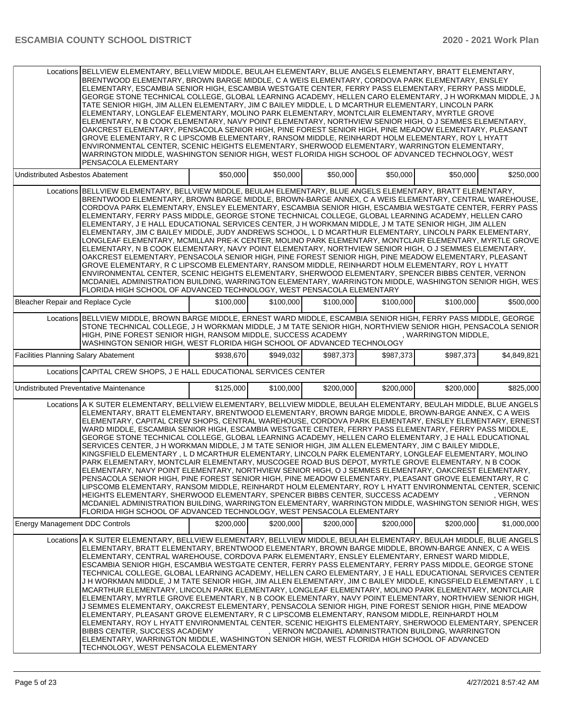| Locations BELLVIEW ELEMENTARY, BELLVIEW MIDDLE, BEULAH ELEMENTARY, BLUE ANGELS ELEMENTARY, BRATT ELEMENTARY,<br>BRENTWOOD ELEMENTARY, BROWN BARGE MIDDLE, C A WEIS ELEMENTARY, CORDOVA PARK ELEMENTARY, ENSLEY<br>ELEMENTARY, ESCAMBIA SENIOR HIGH, ESCAMBIA WESTGATE CENTER, FERRY PASS ELEMENTARY, FERRY PASS MIDDLE,<br>GEORGE STONE TECHNICAL COLLEGE, GLOBAL LEARNING ACADEMY, HELLEN CARO ELEMENTARY, J H WORKMAN MIDDLE, J N<br>TATE SENIOR HIGH, JIM ALLEN ELEMENTARY, JIM C BAILEY MIDDLE, L D MCARTHUR ELEMENTARY, LINCOLN PARK<br>ELEMENTARY, LONGLEAF ELEMENTARY, MOLINO PARK ELEMENTARY, MONTCLAIR ELEMENTARY, MYRTLE GROVE<br>ELEMENTARY, N B COOK ELEMENTARY, NAVY POINT ELEMENTARY, NORTHVIEW SENIOR HIGH, O J SEMMES ELEMENTARY,<br>OAKCREST ELEMENTARY, PENSACOLA SENIOR HIGH, PINE FOREST SENIOR HIGH, PINE MEADOW ELEMENTARY, PLEASANT<br>GROVE ELEMENTARY, R C LIPSCOMB ELEMENTARY, RANSOM MIDDLE, REINHARDT HOLM ELEMENTARY, ROY L HYATT<br>ENVIRONMENTAL CENTER, SCENIC HEIGHTS ELEMENTARY, SHERWOOD ELEMENTARY, WARRINGTON ELEMENTARY,<br>WARRINGTON MIDDLE, WASHINGTON SENIOR HIGH, WEST FLORIDA HIGH SCHOOL OF ADVANCED TECHNOLOGY, WEST<br>PENSACOLA ELEMENTARY |                                                                                                                                                                                                                                                                                                                                                                                                                                                                                                                                                                                                                                                                                                                                                                                                                                                                                                                                                                                                                                                                                                                                                                                                                                                                                                                                                                                                                                                                                  |           |           |           |           |                                                       |             |  |
|--------------------------------------------------------------------------------------------------------------------------------------------------------------------------------------------------------------------------------------------------------------------------------------------------------------------------------------------------------------------------------------------------------------------------------------------------------------------------------------------------------------------------------------------------------------------------------------------------------------------------------------------------------------------------------------------------------------------------------------------------------------------------------------------------------------------------------------------------------------------------------------------------------------------------------------------------------------------------------------------------------------------------------------------------------------------------------------------------------------------------------------------------------------------------------------------|----------------------------------------------------------------------------------------------------------------------------------------------------------------------------------------------------------------------------------------------------------------------------------------------------------------------------------------------------------------------------------------------------------------------------------------------------------------------------------------------------------------------------------------------------------------------------------------------------------------------------------------------------------------------------------------------------------------------------------------------------------------------------------------------------------------------------------------------------------------------------------------------------------------------------------------------------------------------------------------------------------------------------------------------------------------------------------------------------------------------------------------------------------------------------------------------------------------------------------------------------------------------------------------------------------------------------------------------------------------------------------------------------------------------------------------------------------------------------------|-----------|-----------|-----------|-----------|-------------------------------------------------------|-------------|--|
| Undistributed Asbestos Abatement                                                                                                                                                                                                                                                                                                                                                                                                                                                                                                                                                                                                                                                                                                                                                                                                                                                                                                                                                                                                                                                                                                                                                           |                                                                                                                                                                                                                                                                                                                                                                                                                                                                                                                                                                                                                                                                                                                                                                                                                                                                                                                                                                                                                                                                                                                                                                                                                                                                                                                                                                                                                                                                                  | \$50,000  | \$50,000  | \$50,000  | \$50,000  | \$50,000                                              | \$250,000   |  |
|                                                                                                                                                                                                                                                                                                                                                                                                                                                                                                                                                                                                                                                                                                                                                                                                                                                                                                                                                                                                                                                                                                                                                                                            | Locations BELLVIEW ELEMENTARY, BELLVIEW MIDDLE, BEULAH ELEMENTARY, BLUE ANGELS ELEMENTARY, BRATT ELEMENTARY,<br>BRENTWOOD ELEMENTARY, BROWN BARGE MIDDLE, BROWN-BARGE ANNEX, C A WEIS ELEMENTARY, CENTRAL WAREHOUSE.<br>CORDOVA PARK ELEMENTARY, ENSLEY ELEMENTARY, ESCAMBIA SENIOR HIGH, ESCAMBIA WESTGATE CENTER, FERRY PASS<br>ELEMENTARY, FERRY PASS MIDDLE, GEORGE STONE TECHNICAL COLLEGE, GLOBAL LEARNING ACADEMY, HELLEN CARO<br>ELEMENTARY, J E HALL EDUCATIONAL SERVICES CENTER, J H WORKMAN MIDDLE, J M TATE SENIOR HIGH, JIM ALLEN<br>ELEMENTARY, JIM C BAILEY MIDDLE, JUDY ANDREWS SCHOOL, L D MCARTHUR ELEMENTARY, LINCOLN PARK ELEMENTARY,<br>LONGLEAF ELEMENTARY, MCMILLAN PRE-K CENTER, MOLINO PARK ELEMENTARY, MONTCLAIR ELEMENTARY, MYRTLE GROVE<br>ELEMENTARY, N B COOK ELEMENTARY, NAVY POINT ELEMENTARY, NORTHVIEW SENIOR HIGH, O J SEMMES ELEMENTARY,<br>OAKCREST ELEMENTARY, PENSACOLA SENIOR HIGH, PINE FOREST SENIOR HIGH, PINE MEADOW ELEMENTARY, PLEASANT<br>GROVE ELEMENTARY, R C LIPSCOMB ELEMENTARY, RANSOM MIDDLE, REINHARDT HOLM ELEMENTARY, ROY L HYATT<br>ENVIRONMENTAL CENTER, SCENIC HEIGHTS ELEMENTARY, SHERWOOD ELEMENTARY, SPENCER BIBBS CENTER, VERNON<br>MCDANIEL ADMINISTRATION BUILDING, WARRINGTON ELEMENTARY, WARRINGTON MIDDLE, WASHINGTON SENIOR HIGH, WEST<br>FLORIDA HIGH SCHOOL OF ADVANCED TECHNOLOGY, WEST PENSACOLA ELEMENTARY                                                                                             |           |           |           |           |                                                       |             |  |
| Bleacher Repair and Replace Cycle                                                                                                                                                                                                                                                                                                                                                                                                                                                                                                                                                                                                                                                                                                                                                                                                                                                                                                                                                                                                                                                                                                                                                          |                                                                                                                                                                                                                                                                                                                                                                                                                                                                                                                                                                                                                                                                                                                                                                                                                                                                                                                                                                                                                                                                                                                                                                                                                                                                                                                                                                                                                                                                                  | \$100,000 | \$100,000 | \$100,000 | \$100,000 | \$100,000                                             | \$500,000   |  |
|                                                                                                                                                                                                                                                                                                                                                                                                                                                                                                                                                                                                                                                                                                                                                                                                                                                                                                                                                                                                                                                                                                                                                                                            | Locations BELLVIEW MIDDLE, BROWN BARGE MIDDLE, ERNEST WARD MIDDLE, ESCAMBIA SENIOR HIGH, FERRY PASS MIDDLE, GEORGE<br>STONE TECHNICAL COLLEGE, J H WORKMAN MIDDLE, J M TATE SENIOR HIGH, NORTHVIEW SENIOR HIGH, PENSACOLA SENIOR<br>HIGH, PINE FOREST SENIOR HIGH, RANSOM MIDDLE, SUCCESS ACADEMY<br>WASHINGTON SENIOR HIGH, WEST FLORIDA HIGH SCHOOL OF ADVANCED TECHNOLOGY                                                                                                                                                                                                                                                                                                                                                                                                                                                                                                                                                                                                                                                                                                                                                                                                                                                                                                                                                                                                                                                                                                     |           |           |           |           | , WARRINGTON MIDDLE,                                  |             |  |
| <b>Facilities Planning Salary Abatement</b>                                                                                                                                                                                                                                                                                                                                                                                                                                                                                                                                                                                                                                                                                                                                                                                                                                                                                                                                                                                                                                                                                                                                                |                                                                                                                                                                                                                                                                                                                                                                                                                                                                                                                                                                                                                                                                                                                                                                                                                                                                                                                                                                                                                                                                                                                                                                                                                                                                                                                                                                                                                                                                                  | \$938,670 | \$949.032 | \$987,373 | \$987,373 | \$987,373                                             | \$4,849,821 |  |
|                                                                                                                                                                                                                                                                                                                                                                                                                                                                                                                                                                                                                                                                                                                                                                                                                                                                                                                                                                                                                                                                                                                                                                                            | Locations CAPITAL CREW SHOPS, J E HALL EDUCATIONAL SERVICES CENTER                                                                                                                                                                                                                                                                                                                                                                                                                                                                                                                                                                                                                                                                                                                                                                                                                                                                                                                                                                                                                                                                                                                                                                                                                                                                                                                                                                                                               |           |           |           |           |                                                       |             |  |
| Undistributed Preventative Maintenance                                                                                                                                                                                                                                                                                                                                                                                                                                                                                                                                                                                                                                                                                                                                                                                                                                                                                                                                                                                                                                                                                                                                                     |                                                                                                                                                                                                                                                                                                                                                                                                                                                                                                                                                                                                                                                                                                                                                                                                                                                                                                                                                                                                                                                                                                                                                                                                                                                                                                                                                                                                                                                                                  | \$125,000 | \$100,000 | \$200,000 | \$200,000 | \$200,000                                             | \$825,000   |  |
|                                                                                                                                                                                                                                                                                                                                                                                                                                                                                                                                                                                                                                                                                                                                                                                                                                                                                                                                                                                                                                                                                                                                                                                            | Locations A K SUTER ELEMENTARY, BELLVIEW ELEMENTARY, BELLVIEW MIDDLE, BEULAH ELEMENTARY, BEULAH MIDDLE, BLUE ANGELS<br>ELEMENTARY, BRATT ELEMENTARY, BRENTWOOD ELEMENTARY, BROWN BARGE MIDDLE, BROWN-BARGE ANNEX, C A WEIS<br>ELEMENTARY, CAPITAL CREW SHOPS, CENTRAL WAREHOUSE, CORDOVA PARK ELEMENTARY, ENSLEY ELEMENTARY, ERNEST<br>WARD MIDDLE, ESCAMBIA SENIOR HIGH, ESCAMBIA WESTGATE CENTER, FERRY PASS ELEMENTARY, FERRY PASS MIDDLE,<br>GEORGE STONE TECHNICAL COLLEGE, GLOBAL LEARNING ACADEMY, HELLEN CARO ELEMENTARY, J E HALL EDUCATIONAL<br>SERVICES CENTER, J H WORKMAN MIDDLE, J M TATE SENIOR HIGH, JIM ALLEN ELEMENTARY, JIM C BAILEY MIDDLE,<br>KINGSFIELD ELEMENTARY, L D MCARTHUR ELEMENTARY, LINCOLN PARK ELEMENTARY, LONGLEAF ELEMENTARY, MOLINO<br>PARK ELEMENTARY, MONTCLAIR ELEMENTARY, MUSCOGEE ROAD BUS DEPOT, MYRTLE GROVE ELEMENTARY, N B COOK<br>ELEMENTARY, NAVY POINT ELEMENTARY, NORTHVIEW SENIOR HIGH, O J SEMMES ELEMENTARY, OAKCREST ELEMENTARY,<br>PENSACOLA SENIOR HIGH, PINE FOREST SENIOR HIGH, PINE MEADOW ELEMENTARY, PLEASANT GROVE ELEMENTARY, R C<br>LIPSCOMB ELEMENTARY, RANSOM MIDDLE, REINHARDT HOLM ELEMENTARY, ROY L HYATT ENVIRONMENTAL CENTER, SCENIC<br>HEIGHTS ELEMENTARY, SHERWOOD ELEMENTARY, SPENCER BIBBS CENTER, SUCCESS ACADEMY<br>MCDANIEL ADMINISTRATION BUILDING, WARRINGTON ELEMENTARY, WARRINGTON MIDDLE, WASHINGTON SENIOR HIGH, WES<br>FLORIDA HIGH SCHOOL OF ADVANCED TECHNOLOGY, WEST PENSACOLA ELEMENTARY |           |           |           |           |                                                       | , VERNON    |  |
| <b>Energy Management DDC Controls</b>                                                                                                                                                                                                                                                                                                                                                                                                                                                                                                                                                                                                                                                                                                                                                                                                                                                                                                                                                                                                                                                                                                                                                      |                                                                                                                                                                                                                                                                                                                                                                                                                                                                                                                                                                                                                                                                                                                                                                                                                                                                                                                                                                                                                                                                                                                                                                                                                                                                                                                                                                                                                                                                                  | \$200,000 | \$200,000 | \$200,000 | \$200,000 | \$200.000                                             | \$1,000,000 |  |
|                                                                                                                                                                                                                                                                                                                                                                                                                                                                                                                                                                                                                                                                                                                                                                                                                                                                                                                                                                                                                                                                                                                                                                                            | Locations A K SUTER ELEMENTARY, BELLVIEW ELEMENTARY, BELLVIEW MIDDLE, BEULAH ELEMENTARY, BEULAH MIDDLE, BLUE ANGELS<br>ELEMENTARY, BRATT ELEMENTARY, BRENTWOOD ELEMENTARY, BROWN BARGE MIDDLE, BROWN-BARGE ANNEX, C A WEIS<br>ELEMENTARY, CENTRAL WAREHOUSE, CORDOVA PARK ELEMENTARY, ENSLEY ELEMENTARY, ERNEST WARD MIDDLE,<br>ESCAMBIA SENIOR HIGH, ESCAMBIA WESTGATE CENTER, FERRY PASS ELEMENTARY, FERRY PASS MIDDLE, GEORGE STONE<br>TECHNICAL COLLEGE, GLOBAL LEARNING ACADEMY, HELLEN CARO ELEMENTARY, J E HALL EDUCATIONAL SERVICES CENTER<br>J H WORKMAN MIDDLE, J M TATE SENIOR HIGH, JIM ALLEN ELEMENTARY, JIM C BAILEY MIDDLE, KINGSFIELD ELEMENTARY, L L<br>MCARTHUR ELEMENTARY, LINCOLN PARK ELEMENTARY, LONGLEAF ELEMENTARY, MOLINO PARK ELEMENTARY, MONTCLAIR<br>ELEMENTARY, MYRTLE GROVE ELEMENTARY, N B COOK ELEMENTARY, NAVY POINT ELEMENTARY, NORTHVIEW SENIOR HIGH,<br>J SEMMES ELEMENTARY, OAKCREST ELEMENTARY, PENSACOLA SENIOR HIGH, PINE FOREST SENIOR HIGH, PINE MEADOW<br>ELEMENTARY, PLEASANT GROVE ELEMENTARY, R C LIPSCOMB ELEMENTARY, RANSOM MIDDLE, REINHARDT HOLM<br>IELEMENTARY, ROY L HYATT ENVIRONMENTAL CENTER, SCENIC HEIGHTS ELEMENTARY, SHERWOOD ELEMENTARY, SPENCER<br>BIBBS CENTER, SUCCESS ACADEMY<br>ELEMENTARY, WARRINGTON MIDDLE, WASHINGTON SENIOR HIGH, WEST FLORIDA HIGH SCHOOL OF ADVANCED<br>TECHNOLOGY, WEST PENSACOLA ELEMENTARY                                                                                            |           |           |           |           | , VERNON MCDANIEL ADMINISTRATION BUILDING, WARRINGTON |             |  |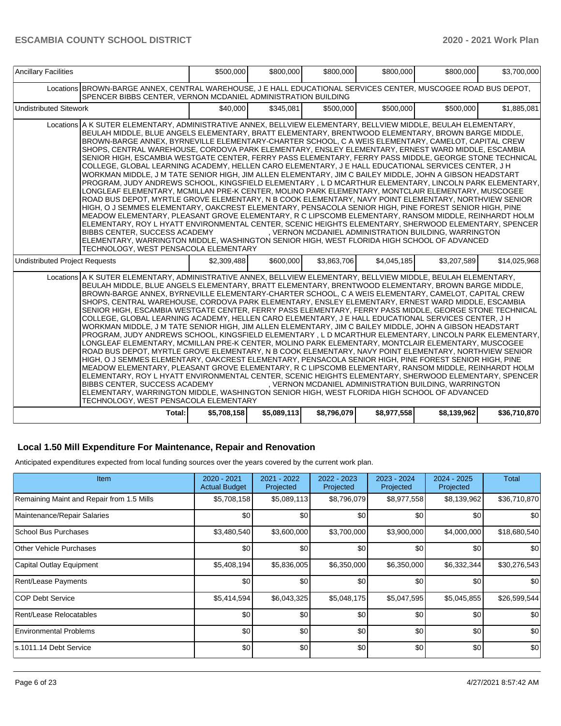| <b>Ancillary Facilities</b>                                                                                                                                                                                                                                                                                                                                                                                                                                                                                                                                                                                                                                                                                                                                                                                                                                                                                                                                                                                                                                                                                                                                                                                                                                                                                                                                                                                                                                                                                                                                                                          | \$500,000                                                                                                                                                                                                                                                                                                                                                                                                                                                                                                                                                                                                                                                                                                                                                                                                                                                                                                                                                                                                                                                                                                                                                                                                                                                                                                                                                                                                                                                                                                                                                                                                                                                     | \$800,000   | \$800,000   | \$800,000   | \$800,000                                             | \$3,700,000  |  |  |  |
|------------------------------------------------------------------------------------------------------------------------------------------------------------------------------------------------------------------------------------------------------------------------------------------------------------------------------------------------------------------------------------------------------------------------------------------------------------------------------------------------------------------------------------------------------------------------------------------------------------------------------------------------------------------------------------------------------------------------------------------------------------------------------------------------------------------------------------------------------------------------------------------------------------------------------------------------------------------------------------------------------------------------------------------------------------------------------------------------------------------------------------------------------------------------------------------------------------------------------------------------------------------------------------------------------------------------------------------------------------------------------------------------------------------------------------------------------------------------------------------------------------------------------------------------------------------------------------------------------|---------------------------------------------------------------------------------------------------------------------------------------------------------------------------------------------------------------------------------------------------------------------------------------------------------------------------------------------------------------------------------------------------------------------------------------------------------------------------------------------------------------------------------------------------------------------------------------------------------------------------------------------------------------------------------------------------------------------------------------------------------------------------------------------------------------------------------------------------------------------------------------------------------------------------------------------------------------------------------------------------------------------------------------------------------------------------------------------------------------------------------------------------------------------------------------------------------------------------------------------------------------------------------------------------------------------------------------------------------------------------------------------------------------------------------------------------------------------------------------------------------------------------------------------------------------------------------------------------------------------------------------------------------------|-------------|-------------|-------------|-------------------------------------------------------|--------------|--|--|--|
| Locations BROWN-BARGE ANNEX, CENTRAL WAREHOUSE, J E HALL EDUCATIONAL SERVICES CENTER, MUSCOGEE ROAD BUS DEPOT,<br>SPENCER BIBBS CENTER, VERNON MCDANIEL ADMINISTRATION BUILDING                                                                                                                                                                                                                                                                                                                                                                                                                                                                                                                                                                                                                                                                                                                                                                                                                                                                                                                                                                                                                                                                                                                                                                                                                                                                                                                                                                                                                      |                                                                                                                                                                                                                                                                                                                                                                                                                                                                                                                                                                                                                                                                                                                                                                                                                                                                                                                                                                                                                                                                                                                                                                                                                                                                                                                                                                                                                                                                                                                                                                                                                                                               |             |             |             |                                                       |              |  |  |  |
| <b>Undistributed Sitework</b>                                                                                                                                                                                                                                                                                                                                                                                                                                                                                                                                                                                                                                                                                                                                                                                                                                                                                                                                                                                                                                                                                                                                                                                                                                                                                                                                                                                                                                                                                                                                                                        | \$40,000                                                                                                                                                                                                                                                                                                                                                                                                                                                                                                                                                                                                                                                                                                                                                                                                                                                                                                                                                                                                                                                                                                                                                                                                                                                                                                                                                                                                                                                                                                                                                                                                                                                      | \$345.081   | \$500,000   | \$500,000   | \$500,000                                             | \$1,885,081  |  |  |  |
|                                                                                                                                                                                                                                                                                                                                                                                                                                                                                                                                                                                                                                                                                                                                                                                                                                                                                                                                                                                                                                                                                                                                                                                                                                                                                                                                                                                                                                                                                                                                                                                                      | Locations A K SUTER ELEMENTARY, ADMINISTRATIVE ANNEX, BELLVIEW ELEMENTARY, BELLVIEW MIDDLE, BEULAH ELEMENTARY,<br>BEULAH MIDDLE, BLUE ANGELS ELEMENTARY, BRATT ELEMENTARY, BRENTWOOD ELEMENTARY, BROWN BARGE MIDDLE,<br>BROWN-BARGE ANNEX, BYRNEVILLE ELEMENTARY-CHARTER SCHOOL, C A WEIS ELEMENTARY, CAMELOT, CAPITAL CREW<br>SHOPS, CENTRAL WAREHOUSE, CORDOVA PARK ELEMENTARY, ENSLEY ELEMENTARY, ERNEST WARD MIDDLE, ESCAMBIA<br>SENIOR HIGH, ESCAMBIA WESTGATE CENTER, FERRY PASS ELEMENTARY, FERRY PASS MIDDLE, GEORGE STONE TECHNICAL<br>COLLEGE, GLOBAL LEARNING ACADEMY, HELLEN CARO ELEMENTARY, J E HALL EDUCATIONAL SERVICES CENTER, J H<br>WORKMAN MIDDLE, J M TATE SENIOR HIGH, JIM ALLEN ELEMENTARY, JIM C BAILEY MIDDLE, JOHN A GIBSON HEADSTART<br>PROGRAM, JUDY ANDREWS SCHOOL, KINGSFIELD ELEMENTARY, L D MCARTHUR ELEMENTARY, LINCOLN PARK ELEMENTARY,<br>LONGLEAF ELEMENTARY, MCMILLAN PRE-K CENTER, MOLINO PARK ELEMENTARY, MONTCLAIR ELEMENTARY, MUSCOGEE<br>ROAD BUS DEPOT, MYRTLE GROVE ELEMENTARY, N B COOK ELEMENTARY, NAVY POINT ELEMENTARY, NORTHVIEW SENIOR<br>HIGH, O J SEMMES ELEMENTARY, OAKCREST ELEMENTARY, PENSACOLA SENIOR HIGH, PINE FOREST SENIOR HIGH, PINE<br>MEADOW ELEMENTARY, PLEASANT GROVE ELEMENTARY, R C LIPSCOMB ELEMENTARY, RANSOM MIDDLE, REINHARDT HOLM<br>ELEMENTARY, ROY L HYATT ENVIRONMENTAL CENTER, SCENIC HEIGHTS ELEMENTARY, SHERWOOD ELEMENTARY, SPENCER <br><b>BIBBS CENTER, SUCCESS ACADEMY</b><br>, VERNON MCDANIEL ADMINISTRATION BUILDING, WARRINGTON<br>ELEMENTARY, WARRINGTON MIDDLE, WASHINGTON SENIOR HIGH, WEST FLORIDA HIGH SCHOOL OF ADVANCED<br>TECHNOLOGY, WEST PENSACOLA ELEMENTARY |             |             |             |                                                       |              |  |  |  |
| <b>Undistributed Project Requests</b>                                                                                                                                                                                                                                                                                                                                                                                                                                                                                                                                                                                                                                                                                                                                                                                                                                                                                                                                                                                                                                                                                                                                                                                                                                                                                                                                                                                                                                                                                                                                                                | \$2,309,488                                                                                                                                                                                                                                                                                                                                                                                                                                                                                                                                                                                                                                                                                                                                                                                                                                                                                                                                                                                                                                                                                                                                                                                                                                                                                                                                                                                                                                                                                                                                                                                                                                                   | \$600,000   | \$3,863,706 | \$4,045,185 | \$3,207,589                                           | \$14,025,968 |  |  |  |
| Locations A K SUTER ELEMENTARY, ADMINISTRATIVE ANNEX, BELLVIEW ELEMENTARY, BELLVIEW MIDDLE, BEULAH ELEMENTARY,<br>BEULAH MIDDLE, BLUE ANGELS ELEMENTARY, BRATT ELEMENTARY, BRENTWOOD ELEMENTARY, BROWN BARGE MIDDLE,<br>BROWN-BARGE ANNEX, BYRNEVILLE ELEMENTARY-CHARTER SCHOOL, C A WEIS ELEMENTARY, CAMELOT, CAPITAL CREW<br>SHOPS, CENTRAL WAREHOUSE, CORDOVA PARK ELEMENTARY, ENSLEY ELEMENTARY, ERNEST WARD MIDDLE, ESCAMBIA<br>SENIOR HIGH, ESCAMBIA WESTGATE CENTER, FERRY PASS ELEMENTARY, FERRY PASS MIDDLE, GEORGE STONE TECHNICAL<br>COLLEGE, GLOBAL LEARNING ACADEMY, HELLEN CARO ELEMENTARY, J E HALL EDUCATIONAL SERVICES CENTER, J H<br>WORKMAN MIDDLE, J M TATE SENIOR HIGH, JIM ALLEN ELEMENTARY, JIM C BAILEY MIDDLE, JOHN A GIBSON HEADSTART<br>PROGRAM, JUDY ANDREWS SCHOOL, KINGSFIELD ELEMENTARY , L D MCARTHUR ELEMENTARY, LINCOLN PARK ELEMENTARY,<br>LONGLEAF ELEMENTARY, MCMILLAN PRE-K CENTER, MOLINO PARK ELEMENTARY, MONTCLAIR ELEMENTARY, MUSCOGEE<br>ROAD BUS DEPOT, MYRTLE GROVE ELEMENTARY, N B COOK ELEMENTARY, NAVY POINT ELEMENTARY, NORTHVIEW SENIOR<br>HIGH, O J SEMMES ELEMENTARY, OAKCREST ELEMENTARY, PENSACOLA SENIOR HIGH, PINE FOREST SENIOR HIGH, PINE<br>MEADOW ELEMENTARY, PLEASANT GROVE ELEMENTARY, R C LIPSCOMB ELEMENTARY, RANSOM MIDDLE, REINHARDT HOLM<br>ELEMENTARY, ROY L HYATT ENVIRONMENTAL CENTER, SCENIC HEIGHTS ELEMENTARY, SHERWOOD ELEMENTARY, SPENCER<br><b>BIBBS CENTER, SUCCESS ACADEMY</b><br>ELEMENTARY, WARRINGTON MIDDLE, WASHINGTON SENIOR HIGH, WEST FLORIDA HIGH SCHOOL OF ADVANCED<br>TECHNOLOGY, WEST PENSACOLA ELEMENTARY |                                                                                                                                                                                                                                                                                                                                                                                                                                                                                                                                                                                                                                                                                                                                                                                                                                                                                                                                                                                                                                                                                                                                                                                                                                                                                                                                                                                                                                                                                                                                                                                                                                                               |             |             |             | , VERNON MCDANIEL ADMINISTRATION BUILDING, WARRINGTON |              |  |  |  |
|                                                                                                                                                                                                                                                                                                                                                                                                                                                                                                                                                                                                                                                                                                                                                                                                                                                                                                                                                                                                                                                                                                                                                                                                                                                                                                                                                                                                                                                                                                                                                                                                      | Total:<br>\$5,708,158                                                                                                                                                                                                                                                                                                                                                                                                                                                                                                                                                                                                                                                                                                                                                                                                                                                                                                                                                                                                                                                                                                                                                                                                                                                                                                                                                                                                                                                                                                                                                                                                                                         | \$5,089,113 | \$8,796,079 | \$8,977,558 | \$8,139,962                                           | \$36,710,870 |  |  |  |

### **Local 1.50 Mill Expenditure For Maintenance, Repair and Renovation**

Anticipated expenditures expected from local funding sources over the years covered by the current work plan.

| <b>Item</b>                               | 2020 - 2021<br><b>Actual Budget</b> | 2021 - 2022<br>Projected | 2022 - 2023<br>Projected | 2023 - 2024<br>Projected | 2024 - 2025<br>Projected | Total        |
|-------------------------------------------|-------------------------------------|--------------------------|--------------------------|--------------------------|--------------------------|--------------|
| Remaining Maint and Repair from 1.5 Mills | \$5,708,158                         | \$5,089,113              | \$8,796,079              | \$8,977,558              | \$8,139,962              | \$36,710,870 |
| Maintenance/Repair Salaries               | \$0                                 | \$0                      | \$0                      | \$0                      | \$0                      | \$0          |
| School Bus Purchases                      | \$3,480,540                         | \$3,600,000              | \$3,700,000              | \$3,900,000              | \$4,000,000              | \$18,680,540 |
| Other Vehicle Purchases                   | \$0                                 | \$0                      | \$0                      | \$0                      | \$0                      | \$0          |
| Capital Outlay Equipment                  | \$5,408,194                         | \$5,836,005              | \$6,350,000              | \$6,350,000              | \$6,332,344              | \$30,276,543 |
| Rent/Lease Payments                       | \$0                                 | \$0                      | \$0                      | \$0                      | \$0                      | \$0          |
| ICOP Debt Service                         | \$5,414,594                         | \$6,043,325              | \$5,048,175              | \$5,047,595              | \$5,045,855              | \$26,599,544 |
| Rent/Lease Relocatables                   | \$0                                 | \$0                      | \$0                      | \$0                      | \$0                      | \$0          |
| <b>Environmental Problems</b>             | \$0                                 | \$0                      | \$0                      | \$0                      | \$0                      | \$0          |
| ls.1011.14 Debt Service                   | \$0                                 | \$0                      | \$0                      | \$0                      | \$0                      | \$0          |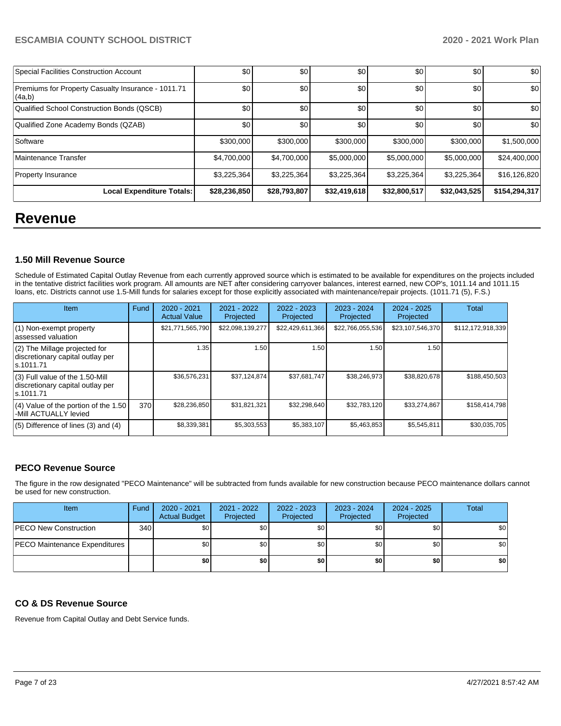| Special Facilities Construction Account                       | \$0          | \$0          | \$0          | \$0          | \$0          | \$0           |
|---------------------------------------------------------------|--------------|--------------|--------------|--------------|--------------|---------------|
| Premiums for Property Casualty Insurance - 1011.71<br> (4a,b) | \$0          | \$0          | \$0          | \$0          | \$0          | \$0           |
| Qualified School Construction Bonds (QSCB)                    | \$0          | \$0          | \$0          | \$0          | \$0          | \$0           |
| Qualified Zone Academy Bonds (QZAB)                           | \$0          | \$0          | \$0          | \$0          | \$0          | \$0           |
| Software                                                      | \$300,000    | \$300,000    | \$300,000    | \$300,000    | \$300,000    | \$1,500,000   |
| Maintenance Transfer                                          | \$4,700,000  | \$4,700,000  | \$5,000,000  | \$5,000,000  | \$5,000,000  | \$24,400,000  |
| <b>Property Insurance</b>                                     | \$3,225,364  | \$3,225,364  | \$3,225,364  | \$3,225,364  | \$3,225,364  | \$16,126,820  |
| <b>Local Expenditure Totals:</b>                              | \$28,236,850 | \$28,793,807 | \$32,419,618 | \$32,800,517 | \$32,043,525 | \$154,294,317 |

# **Revenue**

# **1.50 Mill Revenue Source**

Schedule of Estimated Capital Outlay Revenue from each currently approved source which is estimated to be available for expenditures on the projects included in the tentative district facilities work program. All amounts are NET after considering carryover balances, interest earned, new COP's, 1011.14 and 1011.15 loans, etc. Districts cannot use 1.5-Mill funds for salaries except for those explicitly associated with maintenance/repair projects. (1011.71 (5), F.S.)

| Item                                                                                | Fund | $2020 - 2021$<br><b>Actual Value</b> | 2021 - 2022<br>Projected | $2022 - 2023$<br>Projected | $2023 - 2024$<br>Projected | $2024 - 2025$<br>Projected | Total             |
|-------------------------------------------------------------------------------------|------|--------------------------------------|--------------------------|----------------------------|----------------------------|----------------------------|-------------------|
| (1) Non-exempt property<br>lassessed valuation                                      |      | \$21,771,565,790                     | \$22,098,139,277         | \$22,429,611,366           | \$22,766,055,536           | \$23,107,546,370           | \$112,172,918,339 |
| (2) The Millage projected for<br>discretionary capital outlay per<br>ls.1011.71     |      | 1.35                                 | 1.50                     | 1.50                       | 1.50                       | 1.50                       |                   |
| $(3)$ Full value of the 1.50-Mill<br>discretionary capital outlay per<br>ls.1011.71 |      | \$36,576,231                         | \$37.124.874             | \$37,681,747               | \$38,246,973               | \$38,820,678               | \$188.450.503     |
| $(4)$ Value of the portion of the 1.50<br>-Mill ACTUALLY levied                     | 370  | \$28,236,850                         | \$31,821,321             | \$32,298,640               | \$32,783,120               | \$33,274,867               | \$158,414,798     |
| $(5)$ Difference of lines $(3)$ and $(4)$                                           |      | \$8,339,381                          | \$5,303,553              | \$5,383,107                | \$5,463,853                | \$5,545,811                | \$30,035,705      |

# **PECO Revenue Source**

The figure in the row designated "PECO Maintenance" will be subtracted from funds available for new construction because PECO maintenance dollars cannot be used for new construction.

| Item                                 | Fund | 2020 - 2021<br><b>Actual Budget</b> | 2021 - 2022<br>Projected | 2022 - 2023<br>Projected | 2023 - 2024<br>Projected | 2024 - 2025<br>Projected | <b>Total</b> |
|--------------------------------------|------|-------------------------------------|--------------------------|--------------------------|--------------------------|--------------------------|--------------|
| <b>PECO New Construction</b>         | 340  | \$0                                 | \$0                      | \$0 <sub>1</sub>         | \$0                      | \$0                      | \$0          |
| <b>PECO Maintenance Expenditures</b> |      | \$0                                 | \$0 <sub>1</sub>         | \$0 <sub>1</sub>         | \$0                      | \$0                      | \$0          |
|                                      |      | \$0                                 | \$0                      | \$0                      | \$0                      | \$0                      | \$0          |

# **CO & DS Revenue Source**

Revenue from Capital Outlay and Debt Service funds.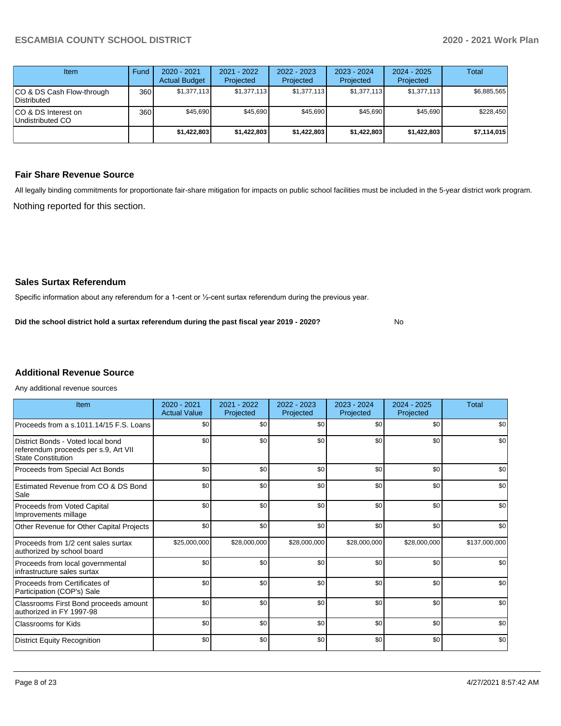| Item                                            | Fund | $2020 - 2021$<br><b>Actual Budget</b> | 2021 - 2022<br>Projected | 2022 - 2023<br>Projected | $2023 - 2024$<br>Projected | $2024 - 2025$<br>Projected | Total       |
|-------------------------------------------------|------|---------------------------------------|--------------------------|--------------------------|----------------------------|----------------------------|-------------|
| CO & DS Cash Flow-through<br><b>Distributed</b> | 360  | \$1,377,113                           | \$1,377,113              | \$1,377,113              | \$1,377,113                | \$1,377,113                | \$6,885,565 |
| CO & DS Interest on<br>Undistributed CO         | 360  | \$45,690                              | \$45,690                 | \$45.690                 | \$45,690                   | \$45,690                   | \$228.450   |
|                                                 |      | \$1,422,803                           | \$1,422,803              | \$1,422,803              | \$1,422,803                | \$1,422,803                | \$7,114,015 |

### **Fair Share Revenue Source**

Nothing reported for this section. All legally binding commitments for proportionate fair-share mitigation for impacts on public school facilities must be included in the 5-year district work program.

No

#### **Sales Surtax Referendum**

Specific information about any referendum for a 1-cent or ½-cent surtax referendum during the previous year.

**Did the school district hold a surtax referendum during the past fiscal year 2019 - 2020?**

# **Additional Revenue Source**

Any additional revenue sources

| Item                                                                                                   | 2020 - 2021<br><b>Actual Value</b> | 2021 - 2022<br>Projected | 2022 - 2023<br>Projected | 2023 - 2024<br>Projected | $2024 - 2025$<br>Projected | <b>Total</b>  |
|--------------------------------------------------------------------------------------------------------|------------------------------------|--------------------------|--------------------------|--------------------------|----------------------------|---------------|
| Proceeds from a s.1011.14/15 F.S. Loans                                                                | \$0                                | \$0                      | \$0                      | \$0                      | \$0                        | \$0           |
| District Bonds - Voted local bond<br>referendum proceeds per s.9, Art VII<br><b>State Constitution</b> | \$0                                | \$0                      | \$0                      | \$0                      | \$0                        | \$0           |
| Proceeds from Special Act Bonds                                                                        | \$0                                | \$0                      | \$0                      | \$0                      | \$0                        | \$0           |
| Estimated Revenue from CO & DS Bond<br>Sale                                                            | \$0                                | \$0                      | \$0                      | \$0                      | \$0                        | \$0           |
| Proceeds from Voted Capital<br>Improvements millage                                                    | \$0                                | \$0                      | \$0                      | \$0                      | \$0                        | \$0           |
| Other Revenue for Other Capital Projects                                                               | \$0                                | \$0                      | \$0                      | \$0                      | \$0                        | \$0           |
| Proceeds from 1/2 cent sales surtax<br>authorized by school board                                      | \$25,000,000                       | \$28,000,000             | \$28,000,000             | \$28,000,000             | \$28,000,000               | \$137,000,000 |
| Proceeds from local governmental<br>infrastructure sales surtax                                        | \$0                                | \$0                      | \$0                      | \$0                      | \$0                        | \$0           |
| Proceeds from Certificates of<br>Participation (COP's) Sale                                            | \$0                                | \$0                      | \$0                      | \$0                      | \$0                        | \$0           |
| Classrooms First Bond proceeds amount<br>authorized in FY 1997-98                                      | \$0                                | \$0                      | \$0                      | \$0                      | \$0                        | \$0           |
| <b>Classrooms for Kids</b>                                                                             | \$0                                | \$0                      | \$0                      | \$0                      | \$0                        | \$0           |
| <b>District Equity Recognition</b>                                                                     | \$0                                | \$0                      | \$0                      | \$0                      | \$0                        | \$0           |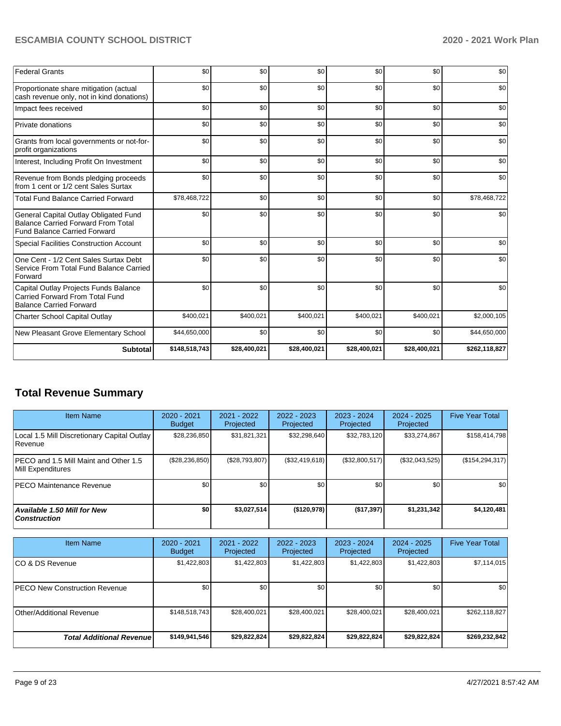| <b>Federal Grants</b>                                                                                                     | \$0           | \$0          | \$0          | \$0          | \$0          | \$0           |
|---------------------------------------------------------------------------------------------------------------------------|---------------|--------------|--------------|--------------|--------------|---------------|
| Proportionate share mitigation (actual<br>cash revenue only, not in kind donations)                                       | \$0           | \$0          | \$0          | \$0          | \$0          | \$0           |
| Impact fees received                                                                                                      | \$0           | \$0          | \$0          | \$0          | \$0          | \$0           |
| Private donations                                                                                                         | \$0           | \$0          | \$0          | \$0          | \$0          | \$0           |
| Grants from local governments or not-for-<br>profit organizations                                                         | \$0           | \$0          | \$0          | \$0          | \$0          | \$0           |
| Interest, Including Profit On Investment                                                                                  | \$0           | \$0          | \$0          | \$0          | \$0          | \$0           |
| Revenue from Bonds pledging proceeds<br>from 1 cent or 1/2 cent Sales Surtax                                              | \$0           | \$0          | \$0          | \$0          | \$0          | \$0           |
| <b>Total Fund Balance Carried Forward</b>                                                                                 | \$78,468,722  | \$0          | \$0          | \$0          | \$0          | \$78,468,722  |
| General Capital Outlay Obligated Fund<br><b>Balance Carried Forward From Total</b><br><b>Fund Balance Carried Forward</b> | \$0           | \$0          | \$0          | \$0          | \$0          | \$0           |
| Special Facilities Construction Account                                                                                   | \$0           | \$0          | \$0          | \$0          | \$0          | \$0           |
| One Cent - 1/2 Cent Sales Surtax Debt<br>Service From Total Fund Balance Carried<br>Forward                               | \$0           | \$0          | \$0          | \$0          | \$0          | \$0           |
| Capital Outlay Projects Funds Balance<br><b>Carried Forward From Total Fund</b><br><b>Balance Carried Forward</b>         | \$0           | \$0          | \$0          | \$0          | \$0          | \$0           |
| <b>Charter School Capital Outlay</b>                                                                                      | \$400,021     | \$400,021    | \$400,021    | \$400,021    | \$400,021    | \$2,000,105   |
| New Pleasant Grove Elementary School                                                                                      | \$44,650,000  | \$0          | \$0          | \$0          | \$0          | \$44,650,000  |
| <b>Subtotal</b>                                                                                                           | \$148,518,743 | \$28,400,021 | \$28,400,021 | \$28,400,021 | \$28,400,021 | \$262,118,827 |

# **Total Revenue Summary**

| Item Name                                                   | $2020 - 2021$<br><b>Budget</b> | 2021 - 2022<br>Projected | $2022 - 2023$<br>Projected | $2023 - 2024$<br>Projected | $2024 - 2025$<br>Projected | <b>Five Year Total</b> |
|-------------------------------------------------------------|--------------------------------|--------------------------|----------------------------|----------------------------|----------------------------|------------------------|
| Local 1.5 Mill Discretionary Capital Outlay  <br>l Revenue  | \$28,236,850                   | \$31,821,321             | \$32,298,640               | \$32,783,120               | \$33,274,867               | \$158,414,798          |
| IPECO and 1.5 Mill Maint and Other 1.5<br>Mill Expenditures | (\$28, 236, 850)               | (S28.793.807)            | (\$32,419,618)             | (\$32,800,517)             | (\$32,043,525)             | (\$154, 294, 317)      |
| <b>IPECO Maintenance Revenue</b>                            | \$0                            | \$0                      | \$0                        | \$0                        | \$0                        | \$0                    |
| Available 1.50 Mill for New<br>  Construction               | \$0                            | \$3,027,514              | (\$120,978)                | (\$17,397)                 | \$1,231,342                | \$4,120,481            |

| <b>Item Name</b>                      | 2020 - 2021<br><b>Budget</b> | 2021 - 2022<br>Projected | 2022 - 2023<br><b>Projected</b> | 2023 - 2024<br>Projected | 2024 - 2025<br>Projected | <b>Five Year Total</b> |
|---------------------------------------|------------------------------|--------------------------|---------------------------------|--------------------------|--------------------------|------------------------|
| ICO & DS Revenue                      | \$1,422,803                  | \$1,422,803              | \$1,422,803                     | \$1,422,803              | \$1,422,803              | \$7,114,015            |
| <b>IPECO New Construction Revenue</b> | \$0 <sub>1</sub>             | \$0 <sub>1</sub>         | \$0                             | \$0                      | \$0                      | \$0                    |
| Other/Additional Revenue              | \$148,518,743                | \$28,400,021             | \$28,400,021                    | \$28,400,021             | \$28,400,021             | \$262,118,827          |
| <b>Total Additional Revenuel</b>      | \$149,941,546                | \$29,822,824             | \$29,822,824                    | \$29,822,824             | \$29,822,824             | \$269,232,842          |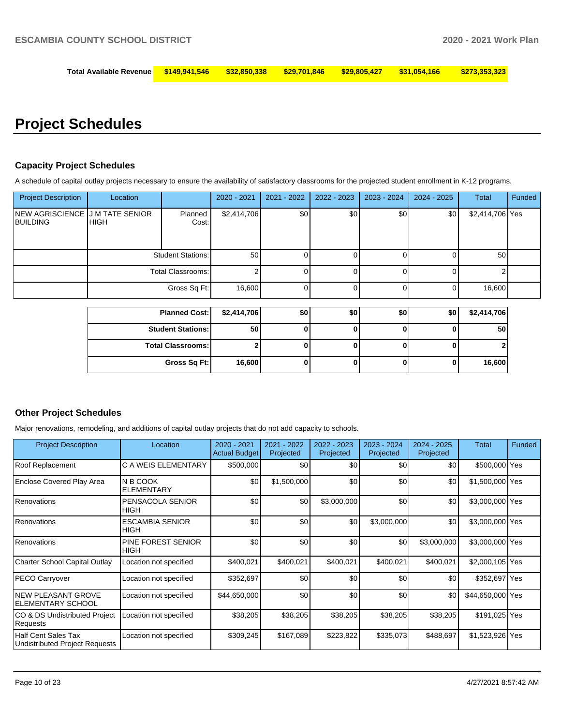| Total Available Revenue  \$149,941,546   \$32,850,338   \$29,701,846   \$29,805,427   \$31,054,166    \$273,353,323 |  |  |  |
|---------------------------------------------------------------------------------------------------------------------|--|--|--|
|                                                                                                                     |  |  |  |

# **Project Schedules**

#### **Capacity Project Schedules**

A schedule of capital outlay projects necessary to ensure the availability of satisfactory classrooms for the projected student enrollment in K-12 programs.

| <b>Project Description</b>                     | Location    |                          | $2020 - 2021$ | 2021 - 2022      | 2022 - 2023 | $2023 - 2024$ | $2024 - 2025$ | <b>Total</b>    | Funded |
|------------------------------------------------|-------------|--------------------------|---------------|------------------|-------------|---------------|---------------|-----------------|--------|
| INEW AGRISCIENCE IJ M TATE SENIOR<br> BUILDING | <b>HIGH</b> | Planned<br>Cost:         | \$2,414,706   | \$0              | \$0         | \$0           | \$0           | \$2,414,706 Yes |        |
|                                                |             | <b>Student Stations:</b> | 50            |                  | 01          |               |               | 50              |        |
|                                                |             | Total Classrooms:        |               |                  | $\Omega$    |               |               |                 |        |
|                                                |             | Gross Sq Ft:             | 16,600        |                  | 0           |               |               | 16,600          |        |
|                                                |             | <b>Planned Cost:</b>     | \$2,414,706   | \$0 <sub>1</sub> | \$0         | \$0           | \$0           | \$2,414,706     |        |

| <b>Planned Cost:</b>     | \$2,414,706 | \$0 | \$0 | \$0 | \$0 | \$2,414,706 |
|--------------------------|-------------|-----|-----|-----|-----|-------------|
| <b>Student Stations:</b> | 50          |     |     |     |     | 50          |
| <b>Total Classrooms:</b> |             |     |     |     |     |             |
| Gross Sq Ft:             | 16,600      |     |     |     |     | 16,600      |

### **Other Project Schedules**

Major renovations, remodeling, and additions of capital outlay projects that do not add capacity to schools.

| <b>Project Description</b>                                          | Location                              | 2020 - 2021<br><b>Actual Budget</b> | 2021 - 2022<br>Projected | 2022 - 2023<br>Projected | 2023 - 2024<br>Projected | $2024 - 2025$<br>Projected | Total            | Funded |
|---------------------------------------------------------------------|---------------------------------------|-------------------------------------|--------------------------|--------------------------|--------------------------|----------------------------|------------------|--------|
| Roof Replacement                                                    | C A WEIS ELEMENTARY                   | \$500,000                           | \$0                      | \$0                      | \$0                      | \$0                        | \$500,000 Yes    |        |
| Enclose Covered Play Area                                           | IN B COOK<br><b>ELEMENTARY</b>        | \$0                                 | \$1,500,000              | \$0                      | \$0                      | \$0                        | \$1,500,000 Yes  |        |
| Renovations                                                         | PENSACOLA SENIOR<br><b>HIGH</b>       | \$0                                 | \$0                      | \$3,000,000              | \$0                      | \$0                        | \$3,000,000 Yes  |        |
| Renovations                                                         | <b>ESCAMBIA SENIOR</b><br><b>HIGH</b> | \$0                                 | \$0                      | \$0                      | \$3,000,000              | \$0                        | \$3,000,000 Yes  |        |
| Renovations                                                         | PINE FOREST SENIOR<br><b>HIGH</b>     | \$0                                 | \$0                      | \$0                      | \$0                      | \$3,000,000                | \$3,000,000 Yes  |        |
| <b>Charter School Capital Outlay</b>                                | Location not specified                | \$400,021                           | \$400,021                | \$400,021                | \$400,021                | \$400,021                  | \$2,000,105 Yes  |        |
| <b>PECO Carryover</b>                                               | Location not specified                | \$352,697                           | \$0                      | \$0                      | \$0                      | \$0                        | \$352,697 Yes    |        |
| <b>NEW PLEASANT GROVE</b><br>ELEMENTARY SCHOOL                      | Location not specified                | \$44,650,000                        | \$0                      | \$0                      | \$0                      | \$0                        | \$44,650,000 Yes |        |
| CO & DS Undistributed Project<br>Requests                           | Location not specified                | \$38,205                            | \$38,205                 | \$38,205                 | \$38,205                 | \$38,205                   | \$191,025 Yes    |        |
| <b>Half Cent Sales Tax</b><br><b>Undistributed Project Requests</b> | Location not specified                | \$309,245                           | \$167,089                | \$223,822                | \$335,073                | \$488,697                  | \$1,523,926 Yes  |        |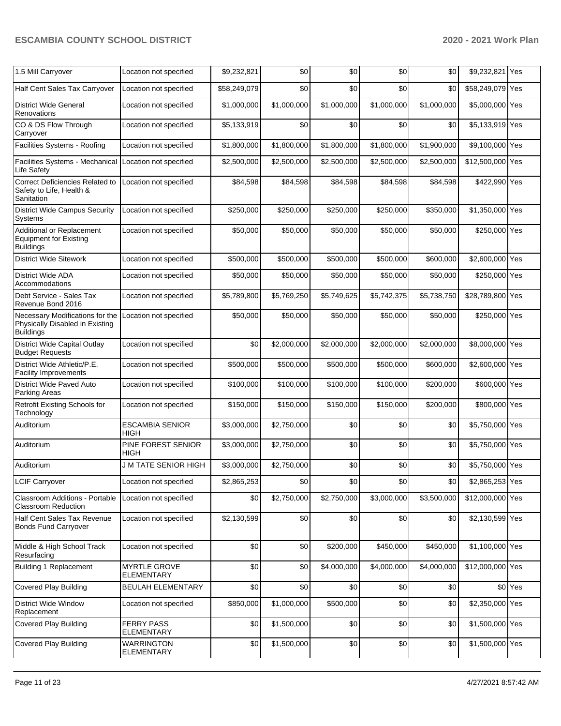| 1.5 Mill Carryover                                                                     | Location not specified                 | \$9,232,821  | \$0         | \$0         | \$0         | \$0         | \$9,232,821 Yes  |         |
|----------------------------------------------------------------------------------------|----------------------------------------|--------------|-------------|-------------|-------------|-------------|------------------|---------|
| Half Cent Sales Tax Carryover                                                          | Location not specified                 | \$58,249,079 | \$0         | \$0         | \$0         | \$0         | \$58,249,079 Yes |         |
| <b>District Wide General</b><br>Renovations                                            | Location not specified                 | \$1,000,000  | \$1,000,000 | \$1,000,000 | \$1,000,000 | \$1,000,000 | \$5,000,000 Yes  |         |
| CO & DS Flow Through<br>Carryover                                                      | Location not specified                 | \$5,133,919  | \$0         | \$0         | \$0         | \$0         | \$5,133,919 Yes  |         |
| Facilities Systems - Roofing                                                           | Location not specified                 | \$1,800,000  | \$1,800,000 | \$1,800,000 | \$1,800,000 | \$1,900,000 | \$9,100,000 Yes  |         |
| Facilities Systems - Mechanical<br>Life Safety                                         | Location not specified                 | \$2,500,000  | \$2,500,000 | \$2,500,000 | \$2,500,000 | \$2,500,000 | \$12,500,000 Yes |         |
| <b>Correct Deficiencies Related to</b><br>Safety to Life, Health &<br>Sanitation       | Location not specified                 | \$84,598     | \$84,598    | \$84,598    | \$84,598    | \$84,598    | \$422,990 Yes    |         |
| <b>District Wide Campus Security</b><br>Systems                                        | Location not specified                 | \$250,000    | \$250,000   | \$250,000   | \$250,000   | \$350,000   | \$1,350,000 Yes  |         |
| Additional or Replacement<br><b>Equipment for Existing</b><br><b>Buildings</b>         | Location not specified                 | \$50,000     | \$50,000    | \$50,000    | \$50,000    | \$50,000    | \$250,000 Yes    |         |
| <b>District Wide Sitework</b>                                                          | Location not specified                 | \$500.000    | \$500,000   | \$500,000   | \$500,000   | \$600,000   | \$2,600,000 Yes  |         |
| <b>District Wide ADA</b><br>Accommodations                                             | Location not specified                 | \$50,000     | \$50,000    | \$50,000    | \$50,000    | \$50,000    | \$250,000 Yes    |         |
| Debt Service - Sales Tax<br>Revenue Bond 2016                                          | Location not specified                 | \$5,789,800  | \$5,769,250 | \$5,749,625 | \$5,742,375 | \$5,738,750 | \$28,789,800 Yes |         |
| Necessary Modifications for the<br>Physically Disabled in Existing<br><b>Buildings</b> | Location not specified                 | \$50,000     | \$50,000    | \$50,000    | \$50,000    | \$50,000    | \$250,000 Yes    |         |
| <b>District Wide Capital Outlay</b><br><b>Budget Requests</b>                          | Location not specified                 | \$0          | \$2,000,000 | \$2,000,000 | \$2,000,000 | \$2,000,000 | \$8,000,000 Yes  |         |
| District Wide Athletic/P.E.<br><b>Facility Improvements</b>                            | Location not specified                 | \$500,000    | \$500,000   | \$500,000   | \$500,000   | \$600,000   | \$2,600,000 Yes  |         |
| District Wide Paved Auto<br>Parking Areas                                              | Location not specified                 | \$100,000    | \$100,000   | \$100,000   | \$100,000   | \$200,000   | \$600,000 Yes    |         |
| Retrofit Existing Schools for<br>Technology                                            | Location not specified                 | \$150,000    | \$150,000   | \$150,000   | \$150,000   | \$200,000   | \$800,000 Yes    |         |
| Auditorium                                                                             | <b>ESCAMBIA SENIOR</b><br>HIGH         | \$3,000,000  | \$2,750,000 | \$0         | \$0         | \$0         | \$5,750,000 Yes  |         |
| Auditorium                                                                             | PINE FOREST SENIOR<br>HIGH             | \$3,000,000  | \$2,750,000 | \$0         | \$0         | \$0         | \$5,750,000 Yes  |         |
| Auditorium                                                                             | <b>J M TATE SENIOR HIGH</b>            | \$3,000,000  | \$2,750,000 | \$0         | \$0         | \$0         | \$5,750,000 Yes  |         |
| <b>LCIF Carryover</b>                                                                  | Location not specified                 | \$2,865,253  | \$0         | \$0         | \$0         | \$0         | \$2,865,253 Yes  |         |
| <b>Classroom Additions - Portable</b><br><b>Classroom Reduction</b>                    | Location not specified                 | \$0          | \$2,750,000 | \$2,750,000 | \$3,000,000 | \$3,500,000 | \$12,000,000 Yes |         |
| Half Cent Sales Tax Revenue<br><b>Bonds Fund Carryover</b>                             | Location not specified                 | \$2,130,599  | \$0         | \$0         | \$0         | \$0         | \$2,130,599 Yes  |         |
| Middle & High School Track<br>Resurfacing                                              | Location not specified                 | \$0          | \$0         | \$200,000   | \$450,000   | \$450,000   | \$1,100,000 Yes  |         |
| <b>Building 1 Replacement</b>                                                          | MYRTLE GROVE<br><b>ELEMENTARY</b>      | \$0          | \$0         | \$4,000,000 | \$4,000,000 | \$4,000,000 | \$12,000,000 Yes |         |
| <b>Covered Play Building</b>                                                           | <b>BEULAH ELEMENTARY</b>               | \$0          | \$0         | \$0         | \$0         | \$0         |                  | \$0 Yes |
| <b>District Wide Window</b><br>Replacement                                             | Location not specified                 | \$850,000    | \$1,000,000 | \$500,000   | \$0         | \$0         | \$2,350,000 Yes  |         |
| <b>Covered Play Building</b>                                                           | <b>FERRY PASS</b><br><b>ELEMENTARY</b> | \$0          | \$1,500,000 | \$0         | \$0         | \$0         | \$1,500,000 Yes  |         |
| <b>Covered Play Building</b>                                                           | <b>WARRINGTON</b><br><b>ELEMENTARY</b> | \$0          | \$1,500,000 | \$0         | \$0         | \$0         | \$1,500,000 Yes  |         |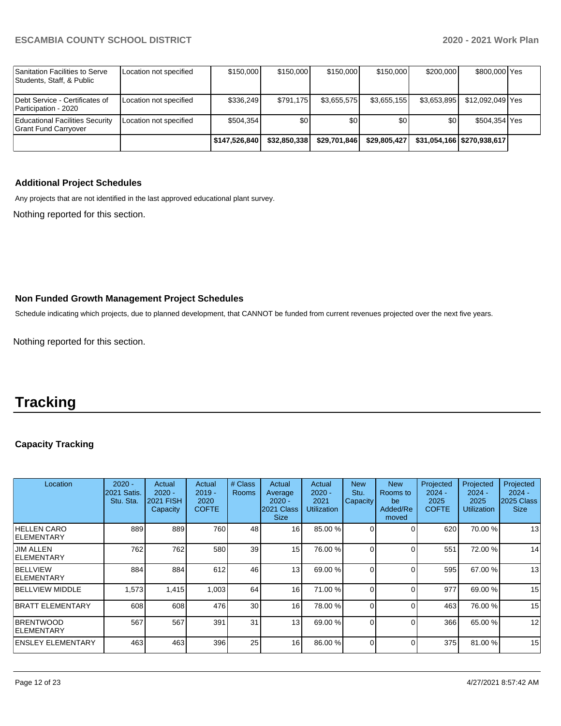|                                                             |                        | \$147,526,840 | \$32.850.338 | \$29,701,846 | \$29,805,427 |             | \$31.054.166 \$270.938.617 |  |
|-------------------------------------------------------------|------------------------|---------------|--------------|--------------|--------------|-------------|----------------------------|--|
| Educational Facilities Security<br>Grant Fund Carryover     | Location not specified | \$504.354     | \$0          | \$0          | \$0          | \$0         | \$504,354 Yes              |  |
| Debt Service - Certificates of<br>Participation - 2020      | Location not specified | \$336.249     | \$791.175    | \$3,655,575  | \$3,655,155  | \$3.653.895 | \$12.092.049 Yes           |  |
| Sanitation Facilities to Serve<br>Students, Staff, & Public | Location not specified | \$150,000     | \$150,000    | \$150,000    | \$150,000    | \$200,000   | \$800,000 Yes              |  |

## **Additional Project Schedules**

Any projects that are not identified in the last approved educational plant survey.

Nothing reported for this section.

# **Non Funded Growth Management Project Schedules**

Schedule indicating which projects, due to planned development, that CANNOT be funded from current revenues projected over the next five years.

Nothing reported for this section.

# **Tracking**

# **Capacity Tracking**

| Location                              | $2020 -$<br>2021 Satis.<br>Stu. Sta. | Actual<br>$2020 -$<br><b>2021 FISH</b><br>Capacity | Actual<br>$2019 -$<br>2020<br><b>COFTE</b> | # Class<br>Rooms | Actual<br>Average<br>$2020 -$<br>2021 Class<br><b>Size</b> | Actual<br>$2020 -$<br>2021<br><b>Utilization</b> | <b>New</b><br>Stu.<br>Capacity | <b>New</b><br>Rooms to<br>be<br>Added/Re<br>moved | Projected<br>$2024 -$<br>2025<br><b>COFTE</b> | Projected<br>$2024 -$<br>2025<br>Utilization | Projected<br>$2024 -$<br>2025 Class<br><b>Size</b> |
|---------------------------------------|--------------------------------------|----------------------------------------------------|--------------------------------------------|------------------|------------------------------------------------------------|--------------------------------------------------|--------------------------------|---------------------------------------------------|-----------------------------------------------|----------------------------------------------|----------------------------------------------------|
| <b>HELLEN CARO</b><br>IELEMENTARY     | 889                                  | 889                                                | 760                                        | 48               | 16                                                         | 85.00 %                                          |                                |                                                   | 620                                           | 70.00 %                                      | 13                                                 |
| <b>JIM ALLEN</b><br><b>ELEMENTARY</b> | 762                                  | 762                                                | 580                                        | 39               | 15                                                         | 76.00 %                                          |                                |                                                   | 551                                           | 72.00 %                                      | 14                                                 |
| <b>BELLVIEW</b><br><b>IELEMENTARY</b> | 884                                  | 884                                                | 612                                        | 46               | 13 <sup>1</sup>                                            | 69.00 %                                          |                                |                                                   | 595                                           | 67.00 %                                      | 13                                                 |
| <b>IBELLVIEW MIDDLE</b>               | 1,573                                | 1.415                                              | 1,003                                      | 64               | 16                                                         | 71.00 %                                          |                                |                                                   | 977                                           | 69.00 %                                      | 15                                                 |
| BRATT ELEMENTARY                      | 608                                  | 608                                                | 476                                        | 30               | 16                                                         | 78.00 %                                          |                                | $\Omega$                                          | 463                                           | 76.00 %                                      | 15                                                 |
| <b>BRENTWOOD</b><br>IELEMENTARY       | 567                                  | 567                                                | 391                                        | 31               | 13 <sup>1</sup>                                            | 69.00 %                                          | $\Omega$                       |                                                   | 366                                           | 65.00 %                                      | 12                                                 |
| <b>ENSLEY ELEMENTARY</b>              | 463                                  | 463                                                | 396                                        | 25               | 16 <sup>1</sup>                                            | 86.00 %                                          | 0                              | ∩                                                 | 375                                           | 81.00 %                                      | 15                                                 |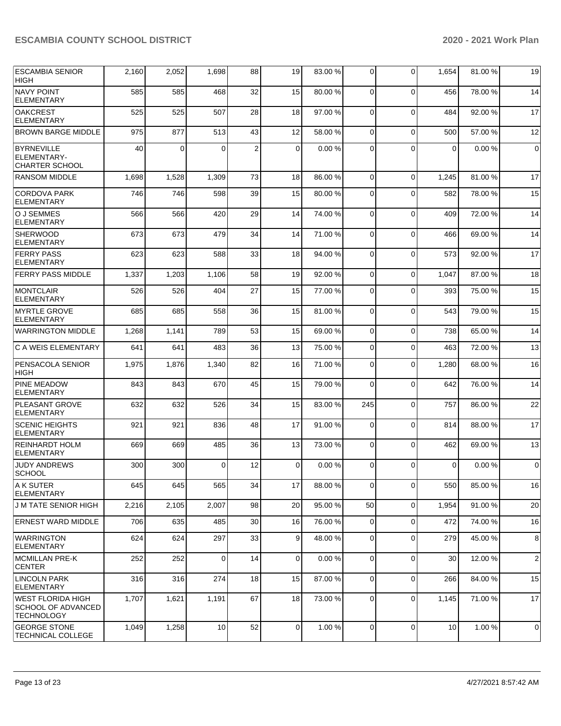| <b>ESCAMBIA SENIOR</b><br>HIGH                                             | 2,160 | 2,052    | 1,698    | 88              | 19          | 83.00 % | 0              | $\Omega$    | 1,654       | 81.00%  | 19             |
|----------------------------------------------------------------------------|-------|----------|----------|-----------------|-------------|---------|----------------|-------------|-------------|---------|----------------|
| <b>NAVY POINT</b><br><b>ELEMENTARY</b>                                     | 585   | 585      | 468      | 32              | 15          | 80.00 % | 0              | $\Omega$    | 456         | 78.00 % | 14             |
| <b>OAKCREST</b><br><b>ELEMENTARY</b>                                       | 525   | 525      | 507      | 28              | 18          | 97.00 % | 0              | $\Omega$    | 484         | 92.00 % | 17             |
| <b>BROWN BARGE MIDDLE</b>                                                  | 975   | 877      | 513      | 43              | 12          | 58.00 % | $\mathbf 0$    | $\Omega$    | 500         | 57.00 % | 12             |
| <b>BYRNEVILLE</b><br>ELEMENTARY-<br><b>CHARTER SCHOOL</b>                  | 40    | $\Omega$ | 0        | $\overline{2}$  | $\mathbf 0$ | 0.00%   | $\Omega$       | $\Omega$    | $\mathbf 0$ | 0.00%   | $\mathbf 0$    |
| <b>RANSOM MIDDLE</b>                                                       | 1,698 | 1,528    | 1,309    | 73              | 18          | 86.00 % | 0              | $\Omega$    | 1,245       | 81.00%  | 17             |
| <b>CORDOVA PARK</b><br><b>ELEMENTARY</b>                                   | 746   | 746      | 598      | 39              | 15          | 80.00%  | 0              | $\Omega$    | 582         | 78.00 % | 15             |
| O J SEMMES<br><b>ELEMENTARY</b>                                            | 566   | 566      | 420      | 29              | 14          | 74.00 % | 0              | $\Omega$    | 409         | 72.00 % | 14             |
| <b>SHERWOOD</b><br><b>ELEMENTARY</b>                                       | 673   | 673      | 479      | 34              | 14          | 71.00 % | $\mathbf 0$    | $\Omega$    | 466         | 69.00 % | 14             |
| <b>FERRY PASS</b><br><b>ELEMENTARY</b>                                     | 623   | 623      | 588      | 33              | 18          | 94.00 % | 0              | $\Omega$    | 573         | 92.00 % | 17             |
| <b>FERRY PASS MIDDLE</b>                                                   | 1,337 | 1,203    | 1,106    | 58              | 19          | 92.00 % | $\overline{0}$ | $\mathbf 0$ | 1,047       | 87.00 % | 18             |
| MONTCLAIR<br><b>ELEMENTARY</b>                                             | 526   | 526      | 404      | 27              | 15          | 77.00 % | 0              | $\Omega$    | 393         | 75.00 % | 15             |
| <b>MYRTLE GROVE</b><br><b>ELEMENTARY</b>                                   | 685   | 685      | 558      | 36              | 15          | 81.00 % | $\mathbf 0$    | $\Omega$    | 543         | 79.00 % | 15             |
| <b>WARRINGTON MIDDLE</b>                                                   | 1,268 | 1,141    | 789      | 53              | 15          | 69.00 % | $\mathbf 0$    | $\Omega$    | 738         | 65.00 % | 14             |
| C A WEIS ELEMENTARY                                                        | 641   | 641      | 483      | 36              | 13          | 75.00 % | 0              | $\Omega$    | 463         | 72.00 % | 13             |
| PENSACOLA SENIOR<br><b>HIGH</b>                                            | 1,975 | 1,876    | 1,340    | 82              | 16          | 71.00 % | 0              | $\Omega$    | 1,280       | 68.00 % | 16             |
| PINE MEADOW<br><b>ELEMENTARY</b>                                           | 843   | 843      | 670      | 45              | 15          | 79.00 % | 0              | $\Omega$    | 642         | 76.00 % | 14             |
| PLEASANT GROVE<br><b>ELEMENTARY</b>                                        | 632   | 632      | 526      | 34              | 15          | 83.00 % | 245            | $\Omega$    | 757         | 86.00 % | 22             |
| <b>SCENIC HEIGHTS</b><br><b>ELEMENTARY</b>                                 | 921   | 921      | 836      | 48              | 17          | 91.00%  | 0              | $\Omega$    | 814         | 88.00 % | 17             |
| <b>REINHARDT HOLM</b><br>ELEMENTARY                                        | 669   | 669      | 485      | 36              | 13          | 73.00 % | 0              | $\Omega$    | 462         | 69.00 % | 13             |
| JUDY ANDREWS<br>SCHOOL                                                     | 300   | 300      | $\Omega$ | 12              | $\mathbf 0$ | 0.00%   | 0              | $\Omega$    | $\Omega$    | 0.00%   | $\mathbf 0$    |
| A K SUTER<br><b>ELEMENTARY</b>                                             | 645   | 645      | 565      | 34              | 17          | 88.00 % | $\mathbf 0$    | $\Omega$    | 550         | 85.00 % | 16             |
| J M TATE SENIOR HIGH                                                       | 2,216 | 2,105    | 2,007    | 98              | 20          | 95.00 % | 50             | $\mathbf 0$ | 1,954       | 91.00%  | 20             |
| ERNEST WARD MIDDLE                                                         | 706   | 635      | 485      | 30              | 16          | 76.00 % | $\overline{0}$ | $\mathbf 0$ | 472         | 74.00 % | 16             |
| <b>WARRINGTON</b><br><b>ELEMENTARY</b>                                     | 624   | 624      | 297      | 33              | 9           | 48.00 % | 0              | $\mathbf 0$ | 279         | 45.00 % | 8              |
| MCMILLAN PRE-K<br><b>CENTER</b>                                            | 252   | 252      | 0        | 14              | $\mathbf 0$ | 0.00%   | $\mathbf 0$    | $\mathbf 0$ | 30          | 12.00 % | $\overline{2}$ |
| LINCOLN PARK<br>ELEMENTARY                                                 | 316   | 316      | 274      | 18 <sup>1</sup> | 15          | 87.00 % | $\mathbf 0$    | 0           | 266         | 84.00 % | 15             |
| <b>WEST FLORIDA HIGH</b><br><b>SCHOOL OF ADVANCED</b><br><b>TECHNOLOGY</b> | 1,707 | 1,621    | 1,191    | 67              | 18          | 73.00 % | $\overline{0}$ | $\mathbf 0$ | 1,145       | 71.00 % | 17             |
| <b>GEORGE STONE</b><br>TECHNICAL COLLEGE                                   | 1,049 | 1,258    | 10       | 52              | $\mathbf 0$ | 1.00%   | 0              | $\mathbf 0$ | 10          | 1.00 %  | 0              |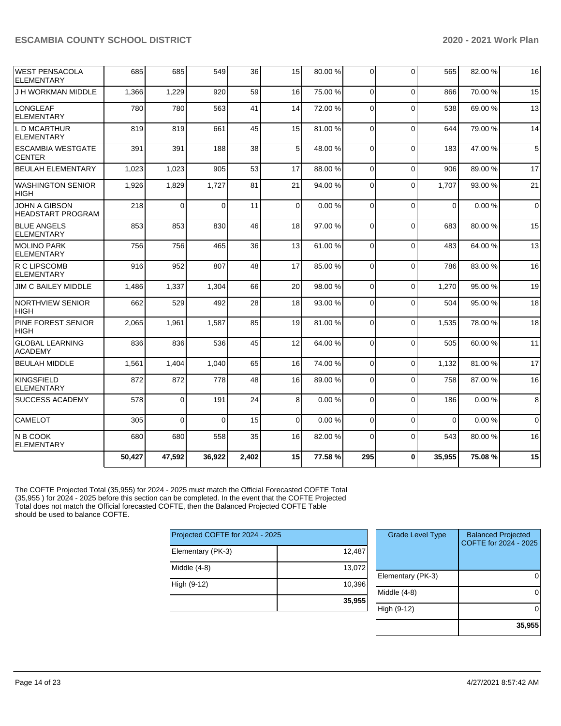| <b>WEST PENSACOLA</b><br><b>ELEMENTARY</b>       | 685    | 685    | 549      | 36    | 15          | 80.00 % | $\Omega$       | $\Omega$ | 565         | 82.00 % | 16          |
|--------------------------------------------------|--------|--------|----------|-------|-------------|---------|----------------|----------|-------------|---------|-------------|
| J H WORKMAN MIDDLE                               | 1,366  | 1,229  | 920      | 59    | 16          | 75.00 % | $\Omega$       | $\Omega$ | 866         | 70.00%  | 15          |
| <b>LONGLEAF</b><br><b>ELEMENTARY</b>             | 780    | 780    | 563      | 41    | 14          | 72.00 % | 0              | $\Omega$ | 538         | 69.00 % | 13          |
| L D MCARTHUR<br><b>ELEMENTARY</b>                | 819    | 819    | 661      | 45    | 15          | 81.00%  | 0              | $\Omega$ | 644         | 79.00 % | 14          |
| <b>ESCAMBIA WESTGATE</b><br><b>CENTER</b>        | 391    | 391    | 188      | 38    | 5           | 48.00 % | $\Omega$       | $\Omega$ | 183         | 47.00 % | 5           |
| <b>BEULAH ELEMENTARY</b>                         | 1,023  | 1,023  | 905      | 53    | 17          | 88.00 % | $\Omega$       | $\Omega$ | 906         | 89.00 % | 17          |
| <b>WASHINGTON SENIOR</b><br><b>HIGH</b>          | 1,926  | 1,829  | 1,727    | 81    | 21          | 94.00 % | $\Omega$       | $\Omega$ | 1,707       | 93.00 % | 21          |
| <b>JOHN A GIBSON</b><br><b>HEADSTART PROGRAM</b> | 218    | 0      | $\Omega$ | 11    | $\mathbf 0$ | 0.00%   | $\Omega$       | $\Omega$ | $\mathbf 0$ | 0.00%   | $\mathbf 0$ |
| <b>BLUE ANGELS</b><br><b>ELEMENTARY</b>          | 853    | 853    | 830      | 46    | 18          | 97.00 % | $\Omega$       | $\Omega$ | 683         | 80.00 % | 15          |
| <b>MOLINO PARK</b><br><b>ELEMENTARY</b>          | 756    | 756    | 465      | 36    | 13          | 61.00%  | $\Omega$       | $\Omega$ | 483         | 64.00%  | 13          |
| R C LIPSCOMB<br><b>ELEMENTARY</b>                | 916    | 952    | 807      | 48    | 17          | 85.00 % | 0              | $\Omega$ | 786         | 83.00 % | 16          |
| <b>JIM C BAILEY MIDDLE</b>                       | 1,486  | 1,337  | 1,304    | 66    | 20          | 98.00 % | $\Omega$       | $\Omega$ | 1,270       | 95.00 % | 19          |
| <b>NORTHVIEW SENIOR</b><br><b>HIGH</b>           | 662    | 529    | 492      | 28    | 18          | 93.00 % | 0              | $\Omega$ | 504         | 95.00 % | 18          |
| PINE FOREST SENIOR<br><b>HIGH</b>                | 2,065  | 1,961  | 1,587    | 85    | 19          | 81.00%  | $\Omega$       | $\Omega$ | 1,535       | 78.00 % | 18          |
| <b>GLOBAL LEARNING</b><br><b>ACADEMY</b>         | 836    | 836    | 536      | 45    | 12          | 64.00%  | $\Omega$       | $\Omega$ | 505         | 60.00 % | 11          |
| <b>BEULAH MIDDLE</b>                             | 1,561  | 1.404  | 1,040    | 65    | 16          | 74.00 % | $\overline{0}$ | $\Omega$ | 1.132       | 81.00%  | 17          |
| <b>KINGSFIELD</b><br><b>ELEMENTARY</b>           | 872    | 872    | 778      | 48    | 16          | 89.00 % | $\Omega$       | $\Omega$ | 758         | 87.00 % | 16          |
| <b>SUCCESS ACADEMY</b>                           | 578    | 0      | 191      | 24    | 8           | 0.00%   | $\Omega$       | $\Omega$ | 186         | 0.00%   | 8           |
| <b>CAMELOT</b>                                   | 305    | 0      | $\Omega$ | 15    | $\Omega$    | 0.00%   | $\Omega$       | $\Omega$ | $\Omega$    | 0.00%   | $\Omega$    |
| IN B COOK<br><b>ELEMENTARY</b>                   | 680    | 680    | 558      | 35    | 16          | 82.00%  | $\Omega$       | $\Omega$ | 543         | 80.00%  | 16          |
|                                                  | 50,427 | 47,592 | 36,922   | 2,402 | 15          | 77.58%  | 295            | $\bf{0}$ | 35,955      | 75.08%  | 15          |

The COFTE Projected Total (35,955) for 2024 - 2025 must match the Official Forecasted COFTE Total (35,955 ) for 2024 - 2025 before this section can be completed. In the event that the COFTE Projected Total does not match the Official forecasted COFTE, then the Balanced Projected COFTE Table should be used to balance COFTE.

| Projected COFTE for 2024 - 2025 |        |
|---------------------------------|--------|
| Elementary (PK-3)               | 12,487 |
| Middle (4-8)                    | 13,072 |
| High (9-12)                     | 10,396 |
|                                 | 35,955 |

| <b>Grade Level Type</b> | <b>Balanced Projected</b><br>COFTE for 2024 - 2025 |
|-------------------------|----------------------------------------------------|
| Elementary (PK-3)       |                                                    |
| Middle $(4-8)$          |                                                    |
| High (9-12)             |                                                    |
|                         | 35,955                                             |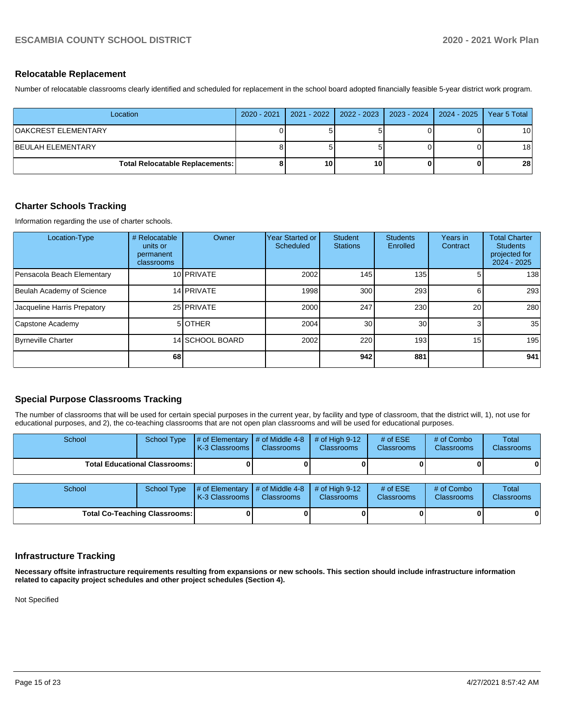#### **Relocatable Replacement**

Number of relocatable classrooms clearly identified and scheduled for replacement in the school board adopted financially feasible 5-year district work program.

| Location                               | 2020 - 2021   2021 - 2022   2022 - 2023   2023 - 2024   2024 - 2025 |    |  | Year 5 Total    |
|----------------------------------------|---------------------------------------------------------------------|----|--|-----------------|
| OAKCREST ELEMENTARY                    |                                                                     |    |  | 10 <sub>1</sub> |
| <b>BEULAH ELEMENTARY</b>               |                                                                     |    |  | 18 <sup>1</sup> |
| <b>Total Relocatable Replacements:</b> | 10                                                                  | 10 |  | 28 <sub>1</sub> |

# **Charter Schools Tracking**

Information regarding the use of charter schools.

| Location-Type               | # Relocatable<br>units or<br>permanent<br>classrooms | Owner           | <b>Year Started or</b><br>Scheduled | <b>Student</b><br><b>Stations</b> | <b>Students</b><br>Enrolled | Years in<br>Contract | <b>Total Charter</b><br><b>Students</b><br>projected for<br>$2024 - 2025$ |
|-----------------------------|------------------------------------------------------|-----------------|-------------------------------------|-----------------------------------|-----------------------------|----------------------|---------------------------------------------------------------------------|
| Pensacola Beach Elementary  |                                                      | 10 PRIVATE      | 2002                                | 145                               | 135                         |                      | 138                                                                       |
| Beulah Academy of Science   |                                                      | 14 PRIVATE      | 1998                                | 300                               | 293                         |                      | 293                                                                       |
| Jacqueline Harris Prepatory |                                                      | 25 PRIVATE      | 2000                                | 247                               | 230                         | 20                   | 280                                                                       |
| Capstone Academy            |                                                      | 5 OTHER         | 2004                                | 30                                | 30 <sup>1</sup>             | 3                    | 35                                                                        |
| <b>Byrneville Charter</b>   |                                                      | 14 SCHOOL BOARD | 2002                                | 220                               | 193 <sub>l</sub>            | 15                   | 195                                                                       |
|                             | 68                                                   |                 |                                     | 942                               | 881                         |                      | 941                                                                       |

# **Special Purpose Classrooms Tracking**

The number of classrooms that will be used for certain special purposes in the current year, by facility and type of classroom, that the district will, 1), not use for educational purposes, and 2), the co-teaching classrooms that are not open plan classrooms and will be used for educational purposes.

| School                                 |  | School Type $\#$ of Elementary $\#$ of Middle 4-8 $\#$ of High 9-12<br><b>K-3 Classrooms L</b> | <b>Classrooms</b> | <b>Classrooms</b> | # of $ESE$<br><b>Classrooms</b> | # of Combo<br><b>Classrooms</b> | Total<br><b>Classrooms</b> |
|----------------------------------------|--|------------------------------------------------------------------------------------------------|-------------------|-------------------|---------------------------------|---------------------------------|----------------------------|
| <b>Total Educational Classrooms: I</b> |  |                                                                                                |                   |                   | 01                              | 01                              |                            |

| School                               | School Type | $\parallel \#$ of Elementary $\parallel \#$ of Middle 4-8 $\parallel \#$ of High 9-12<br><b>K-3 Classrooms I</b> | <b>Classrooms</b> | <b>Classrooms</b> | # of $ESE$<br><b>Classrooms</b> | # of Combo<br><b>Classrooms</b> | Total<br><b>Classrooms</b> |
|--------------------------------------|-------------|------------------------------------------------------------------------------------------------------------------|-------------------|-------------------|---------------------------------|---------------------------------|----------------------------|
| <b>Total Co-Teaching Classrooms:</b> |             |                                                                                                                  |                   | 0                 |                                 | 0                               | 0                          |

# **Infrastructure Tracking**

**Necessary offsite infrastructure requirements resulting from expansions or new schools. This section should include infrastructure information related to capacity project schedules and other project schedules (Section 4).** 

Not Specified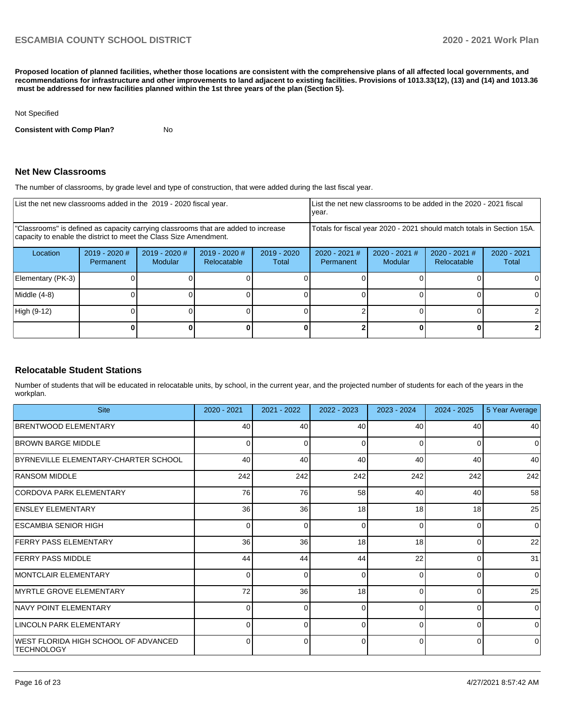**Proposed location of planned facilities, whether those locations are consistent with the comprehensive plans of all affected local governments, and recommendations for infrastructure and other improvements to land adjacent to existing facilities. Provisions of 1013.33(12), (13) and (14) and 1013.36 must be addressed for new facilities planned within the 1st three years of the plan (Section 5).** 

#### Not Specified

**Consistent with Comp Plan?** No

#### **Net New Classrooms**

The number of classrooms, by grade level and type of construction, that were added during the last fiscal year.

| List the net new classrooms added in the 2019 - 2020 fiscal year.                                                                                       |                                                                        |                                   |                                |                        | List the net new classrooms to be added in the 2020 - 2021 fiscal<br>year. |                            |                                |                        |  |
|---------------------------------------------------------------------------------------------------------------------------------------------------------|------------------------------------------------------------------------|-----------------------------------|--------------------------------|------------------------|----------------------------------------------------------------------------|----------------------------|--------------------------------|------------------------|--|
| "Classrooms" is defined as capacity carrying classrooms that are added to increase<br>capacity to enable the district to meet the Class Size Amendment. | Totals for fiscal year 2020 - 2021 should match totals in Section 15A. |                                   |                                |                        |                                                                            |                            |                                |                        |  |
| Location                                                                                                                                                | $2019 - 2020$ #<br>Permanent                                           | $2019 - 2020$ #<br><b>Modular</b> | $2019 - 2020$ #<br>Relocatable | $2019 - 2020$<br>Total | $2020 - 2021$ #<br>Permanent                                               | $2020 - 2021$ #<br>Modular | $2020 - 2021$ #<br>Relocatable | $2020 - 2021$<br>Total |  |
| Elementary (PK-3)                                                                                                                                       |                                                                        |                                   |                                |                        |                                                                            |                            |                                |                        |  |
| Middle (4-8)                                                                                                                                            |                                                                        |                                   |                                |                        |                                                                            |                            |                                | $\Omega$               |  |
| High (9-12)                                                                                                                                             |                                                                        |                                   |                                |                        |                                                                            |                            |                                |                        |  |
|                                                                                                                                                         |                                                                        |                                   |                                |                        |                                                                            |                            |                                |                        |  |

#### **Relocatable Student Stations**

Number of students that will be educated in relocatable units, by school, in the current year, and the projected number of students for each of the years in the workplan.

| <b>Site</b>                                               | 2020 - 2021 | 2021 - 2022 | 2022 - 2023 | 2023 - 2024 | $2024 - 2025$ | 5 Year Average |
|-----------------------------------------------------------|-------------|-------------|-------------|-------------|---------------|----------------|
| <b>BRENTWOOD ELEMENTARY</b>                               | 40          | 40          | 40          | 40          | 40            | 40             |
| <b>BROWN BARGE MIDDLE</b>                                 | $\Omega$    |             | 0           | $\Omega$    | 0             | $\overline{0}$ |
| BYRNEVILLE ELEMENTARY-CHARTER SCHOOL                      | 40          | 40          | 40          | 40          | 40            | 40             |
| <b>RANSOM MIDDLE</b>                                      | 242         | 242         | 242         | 242         | 242           | 242            |
| CORDOVA PARK ELEMENTARY                                   | 76          | 76          | 58          | 40          | 40            | 58             |
| <b>ENSLEY ELEMENTARY</b>                                  | 36          | 36          | 18          | 18          | 18            | 25             |
| ESCAMBIA SENIOR HIGH                                      | 0           | 0           | $\Omega$    | $\Omega$    | 0             | $\Omega$       |
| <b>FERRY PASS ELEMENTARY</b>                              | 36          | 36          | 18          | 18          | $\Omega$      | 22             |
| <b>FERRY PASS MIDDLE</b>                                  | 44          | 44          | 44          | 22          | 0             | 31             |
| <b>IMONTCLAIR ELEMENTARY</b>                              | O           | ∩           | $\Omega$    | $\Omega$    | $\Omega$      | $\Omega$       |
| MYRTLE GROVE ELEMENTARY                                   | 72          | 36          | 18          | $\Omega$    | 0             | 25             |
| <b>NAVY POINT ELEMENTARY</b>                              | $\Omega$    | U           | $\Omega$    | $\Omega$    | $\Omega$      | $\overline{0}$ |
| LINCOLN PARK ELEMENTARY                                   | $\Omega$    |             | $\Omega$    | $\Omega$    |               | $\Omega$       |
| WEST FLORIDA HIGH SCHOOL OF ADVANCED<br><b>TECHNOLOGY</b> | 0           | ŋ           | $\Omega$    | $\Omega$    | 0             | $\Omega$       |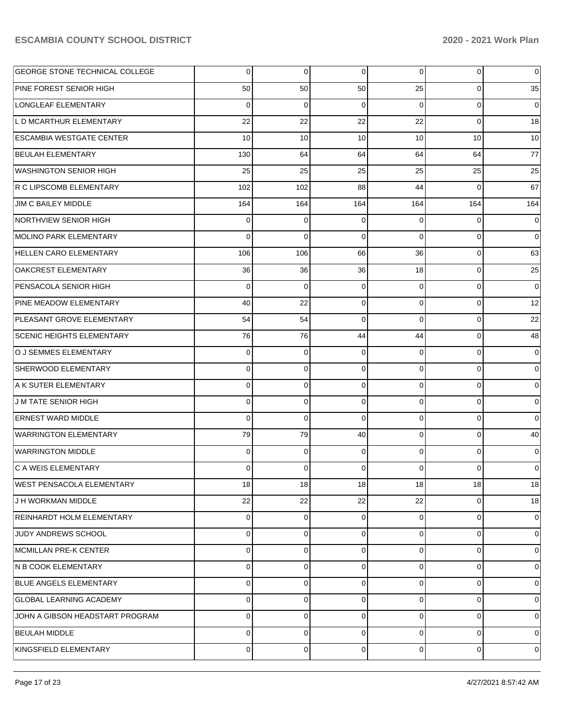| GEORGE STONE TECHNICAL COLLEGE   | 0           | $\overline{0}$ | $\overline{0}$  | $\overline{0}$  | $\overline{0}$ | 0              |
|----------------------------------|-------------|----------------|-----------------|-----------------|----------------|----------------|
| PINE FOREST SENIOR HIGH          | 50          | 50             | 50              | 25              | 0              | 35             |
| LONGLEAF ELEMENTARY              | $\Omega$    | 0              | $\Omega$        | $\Omega$        | $\mathbf 0$    | $\mathbf 0$    |
| L D MCARTHUR ELEMENTARY          | 22          | 22             | 22              | 22              | $\Omega$       | 18             |
| <b>ESCAMBIA WESTGATE CENTER</b>  | 10          | 10             | 10              | 10 <sup>1</sup> | 10             | 10             |
| <b>BEULAH ELEMENTARY</b>         | 130         | 64             | 64              | 64              | 64             | 77             |
| <b>WASHINGTON SENIOR HIGH</b>    | 25          | 25             | 25              | 25              | 25             | 25             |
| R C LIPSCOMB ELEMENTARY          | 102         | 102            | 88              | 44              | $\Omega$       | 67             |
| JIM C BAILEY MIDDLE              | 164         | 164            | 164             | 164             | 164            | 164            |
| NORTHVIEW SENIOR HIGH            | 0           | 0              | $\Omega$        | $\Omega$        | $\mathbf 0$    | 0              |
| MOLINO PARK ELEMENTARY           | $\Omega$    | $\Omega$       | $\Omega$        | $\Omega$        | $\Omega$       | $\Omega$       |
| <b>HELLEN CARO ELEMENTARY</b>    | 106         | 106            | 66              | 36              | $\mathbf 0$    | 63             |
| OAKCREST ELEMENTARY              | 36          | 36             | 36              | 18              | $\mathbf 0$    | 25             |
| PENSACOLA SENIOR HIGH            | $\mathbf 0$ | $\mathbf 0$    | $\Omega$        | $\Omega$        | $\mathbf 0$    | $\mathbf 0$    |
| PINE MEADOW ELEMENTARY           | 40          | 22             | $\Omega$        | $\Omega$        | $\mathbf 0$    | 12             |
| PLEASANT GROVE ELEMENTARY        | 54          | 54             | $\Omega$        | $\Omega$        | $\mathbf 0$    | 22             |
| <b>SCENIC HEIGHTS ELEMENTARY</b> | 76          | 76             | 44              | 44              | $\mathbf 0$    | 48             |
| O J SEMMES ELEMENTARY            | $\mathbf 0$ | $\mathbf 0$    | $\Omega$        | $\Omega$        | $\mathbf 0$    | 0              |
| SHERWOOD ELEMENTARY              | 0           | 0              | $\Omega$        | $\Omega$        | $\mathbf 0$    | 0              |
| A K SUTER ELEMENTARY             | 0           | $\mathbf 0$    | $\Omega$        | $\Omega$        | $\mathbf 0$    | 0              |
| <b>J M TATE SENIOR HIGH</b>      | 0           | 0              | $\Omega$        | $\Omega$        | $\Omega$       | $\mathbf 0$    |
| <b>ERNEST WARD MIDDLE</b>        | $\Omega$    | $\mathbf 0$    | $\Omega$        | $\Omega$        | $\mathbf 0$    | $\mathbf 0$    |
| <b>WARRINGTON ELEMENTARY</b>     | 79          | 79             | 40              | $\Omega$        | $\mathbf 0$    | 40             |
| <b>WARRINGTON MIDDLE</b>         | $\mathbf 0$ | 0              | $\Omega$        | $\Omega$        | $\mathbf 0$    | 0              |
| C A WEIS ELEMENTARY              | 0           | 0              | $\Omega$        | $\Omega$        | $\Omega$       | 0              |
| WEST PENSACOLA ELEMENTARY        | 18          | 18             | 18 <sup>1</sup> | 18 <sup>1</sup> | 18             | 18             |
| J H WORKMAN MIDDLE               | 22          | 22             | 22              | 22              | 0              | 18             |
| REINHARDT HOLM ELEMENTARY        | 0           | 0              | $\Omega$        | $\Omega$        | $\mathbf 0$    | 0              |
| JUDY ANDREWS SCHOOL              | 0           | 0              | $\Omega$        | $\Omega$        | 0              | 0              |
| MCMILLAN PRE-K CENTER            | 0           | 0              | $\Omega$        | $\Omega$        | 0              | $\Omega$       |
| N B COOK ELEMENTARY              | 0           | 0              | $\Omega$        | $\Omega$        | 0              | 0              |
| <b>BLUE ANGELS ELEMENTARY</b>    | 0           | 0              | $\Omega$        | $\Omega$        | 0              | $\Omega$       |
| GLOBAL LEARNING ACADEMY          | 0           | 0              | $\Omega$        | $\Omega$        | 0              | 0              |
| JOHN A GIBSON HEADSTART PROGRAM  | 0           | 0              | $\Omega$        | $\Omega$        | 0              | $\mathbf 0$    |
| <b>BEULAH MIDDLE</b>             | 0           | 0              | $\Omega$        | $\Omega$        | 0              | 0              |
| KINGSFIELD ELEMENTARY            | 0           | 0              | 0               | $\overline{0}$  | $\mathbf 0$    | $\overline{0}$ |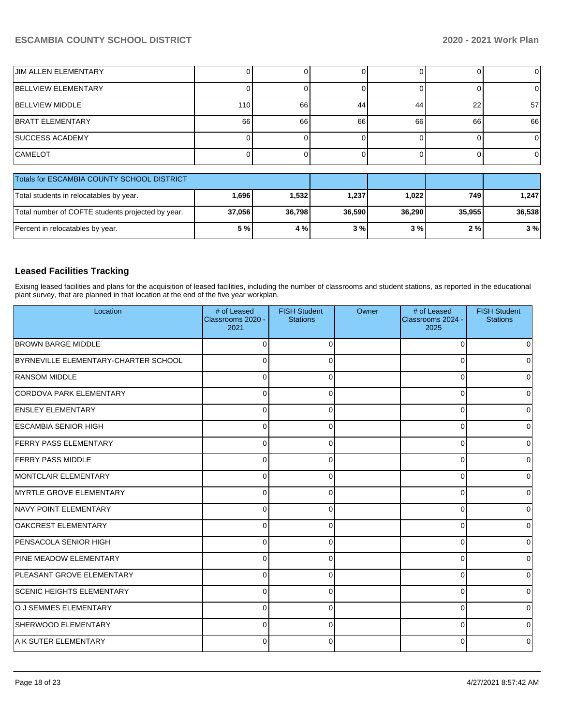| <b>JIM ALLEN ELEMENTARY</b>                       |        |        |        |        |        | $\overline{0}$ |  |  |
|---------------------------------------------------|--------|--------|--------|--------|--------|----------------|--|--|
| <b>BELLVIEW ELEMENTARY</b>                        |        |        |        |        |        | 0              |  |  |
| <b>BELLVIEW MIDDLE</b>                            | 110    | 66     | 44     | 44     | 22     | 57             |  |  |
| <b>BRATT ELEMENTARY</b>                           | 66     | 66     | 66     | 66     | 66     | 66             |  |  |
| <b>ISUCCESS ACADEMY</b>                           |        |        |        |        |        | 0              |  |  |
| <b>CAMELOT</b>                                    |        |        |        |        |        | 0              |  |  |
| Totals for ESCAMBIA COUNTY SCHOOL DISTRICT        |        |        |        |        |        |                |  |  |
| Total students in relocatables by year.           | 1,696  | 1,532  | 1,237  | 1,022  | 749    | 1,247          |  |  |
| Total number of COFTE students projected by year. | 37,056 | 36,798 | 36,590 | 36,290 | 35,955 | 36,538         |  |  |
| Percent in relocatables by year.                  | 5 %    | 4 %    | 3%     | 3%     | 2%     | 3%             |  |  |

#### **Leased Facilities Tracking**

Exising leased facilities and plans for the acquisition of leased facilities, including the number of classrooms and student stations, as reported in the educational plant survey, that are planned in that location at the end of the five year workplan.

| Location                             | # of Leased<br>Classrooms 2020 -<br>2021 | <b>FISH Student</b><br><b>Stations</b> | Owner | # of Leased<br>Classrooms 2024 -<br>2025 | <b>FISH Student</b><br><b>Stations</b> |
|--------------------------------------|------------------------------------------|----------------------------------------|-------|------------------------------------------|----------------------------------------|
| <b>BROWN BARGE MIDDLE</b>            | $\Omega$                                 | $\Omega$                               |       | $\Omega$                                 |                                        |
| BYRNEVILLE ELEMENTARY-CHARTER SCHOOL | $\Omega$                                 | $\Omega$                               |       | 0                                        | 0                                      |
| <b>RANSOM MIDDLE</b>                 | $\Omega$                                 | 0                                      |       | $\Omega$                                 | 0                                      |
| CORDOVA PARK ELEMENTARY              | $\Omega$                                 | $\Omega$                               |       | 0                                        | U                                      |
| <b>ENSLEY ELEMENTARY</b>             | $\mathbf 0$                              | $\Omega$                               |       | $\Omega$                                 | <sup>0</sup>                           |
| <b>ESCAMBIA SENIOR HIGH</b>          | $\mathbf 0$                              | $\Omega$                               |       | $\Omega$                                 | 0                                      |
| <b>FERRY PASS ELEMENTARY</b>         | $\Omega$                                 | $\Omega$                               |       | $\Omega$                                 | 0                                      |
| <b>FERRY PASS MIDDLE</b>             | $\Omega$                                 | ∩                                      |       | $\Omega$                                 |                                        |
| MONTCLAIR ELEMENTARY                 | $\Omega$                                 | $\Omega$                               |       | 0                                        | 0                                      |
| <b>MYRTLE GROVE ELEMENTARY</b>       | $\mathbf 0$                              | 0                                      |       | $\Omega$                                 | 0                                      |
| NAVY POINT ELEMENTARY                | $\Omega$                                 | 0                                      |       | 0                                        | 0                                      |
| OAKCREST ELEMENTARY                  | $\Omega$                                 | $\Omega$                               |       | 0                                        | 0                                      |
| <b>PENSACOLA SENIOR HIGH</b>         | $\mathbf 0$                              | $\Omega$                               |       | $\Omega$                                 | U                                      |
| <b>PINE MEADOW ELEMENTARY</b>        | $\Omega$                                 | $\Omega$                               |       | $\Omega$                                 | <sup>0</sup>                           |
| <b>PLEASANT GROVE ELEMENTARY</b>     | $\mathbf 0$                              | $\Omega$                               |       | $\Omega$                                 | 0                                      |
| <b>SCENIC HEIGHTS ELEMENTARY</b>     | $\Omega$                                 | $\Omega$                               |       | $\Omega$                                 | $\Omega$                               |
| O J SEMMES ELEMENTARY                | $\Omega$                                 | 0                                      |       | 0                                        | 0                                      |
| SHERWOOD ELEMENTARY                  | $\Omega$                                 | <sup>0</sup>                           |       | $\Omega$                                 |                                        |
| A K SUTER ELEMENTARY                 | $\Omega$                                 | $\Omega$                               |       | 0                                        |                                        |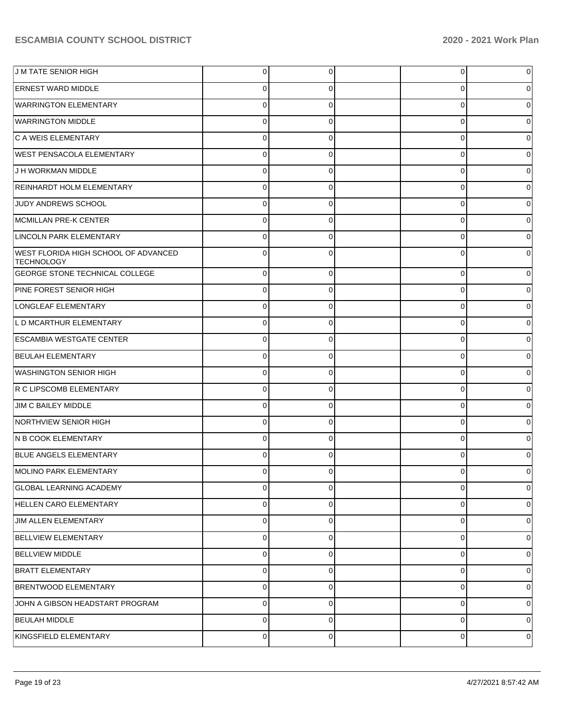| <b>JM TATE SENIOR HIGH</b>                                | 0        | 0           | 0           | 0            |
|-----------------------------------------------------------|----------|-------------|-------------|--------------|
| <b>ERNEST WARD MIDDLE</b>                                 | 0        | 0           | 0           | 0            |
| <b>WARRINGTON ELEMENTARY</b>                              | 0        | 0           | $\mathbf 0$ | $\Omega$     |
| <b>WARRINGTON MIDDLE</b>                                  | 0        | 0           | 0           | 0            |
| C A WEIS ELEMENTARY                                       | 0        | 0           | 0           | $\Omega$     |
| <b>WEST PENSACOLA ELEMENTARY</b>                          | 0        | 0           | 0           | 0            |
| J H WORKMAN MIDDLE                                        | 0        | 0           | $\mathbf 0$ | 0            |
| <b>REINHARDT HOLM ELEMENTARY</b>                          | 0        | 0           | 0           | 0            |
| JUDY ANDREWS SCHOOL                                       | 0        | 0           | 0           | $\Omega$     |
| MCMILLAN PRE-K CENTER                                     | 0        | 0           | 0           | 0            |
| LINCOLN PARK ELEMENTARY                                   | 0        | 0           | 0           | 0            |
| WEST FLORIDA HIGH SCHOOL OF ADVANCED<br><b>TECHNOLOGY</b> | $\Omega$ | 0           | 0           | 0            |
| <b>GEORGE STONE TECHNICAL COLLEGE</b>                     | $\Omega$ | $\Omega$    | $\mathbf 0$ | $\Omega$     |
| PINE FOREST SENIOR HIGH                                   | $\Omega$ | $\Omega$    | $\mathbf 0$ | 0            |
| LONGLEAF ELEMENTARY                                       | $\Omega$ | $\Omega$    | $\mathbf 0$ | 0            |
| L D MCARTHUR ELEMENTARY                                   | $\Omega$ | $\Omega$    | $\mathbf 0$ | 0            |
| <b>ESCAMBIA WESTGATE CENTER</b>                           | $\Omega$ | $\Omega$    | 0           | 0            |
| <b>BEULAH ELEMENTARY</b>                                  | $\Omega$ | $\Omega$    | 0           | 0            |
| <b>WASHINGTON SENIOR HIGH</b>                             | $\Omega$ | $\Omega$    | 0           | 0            |
| R C LIPSCOMB ELEMENTARY                                   | $\Omega$ | $\Omega$    | $\mathbf 0$ | 0            |
| JIM C BAILEY MIDDLE                                       | $\Omega$ | $\Omega$    | 0           | 0            |
| NORTHVIEW SENIOR HIGH                                     | $\Omega$ | $\Omega$    | 0           | 0            |
| N B COOK ELEMENTARY                                       | $\Omega$ | $\Omega$    | 0           | 0            |
| BLUE ANGELS ELEMENTARY                                    | $\Omega$ | $\Omega$    | 0           | <sup>0</sup> |
| MOLINO PARK ELEMENTARY                                    | $\Omega$ | $\Omega$    | 0           | 0            |
| <b>GLOBAL LEARNING ACADEMY</b>                            | $\Omega$ | $\Omega$    | 0           | $\mathbf 0$  |
| <b>HELLEN CARO ELEMENTARY</b>                             | 0        | 0           | 0           | 0            |
| <b>JIM ALLEN ELEMENTARY</b>                               | $\Omega$ | $\Omega$    | 0           | $\Omega$     |
| <b>BELLVIEW ELEMENTARY</b>                                | 0        | $\mathbf 0$ | $\mathbf 0$ | 0            |
| <b>BELLVIEW MIDDLE</b>                                    | $\Omega$ | $\Omega$    | $\mathbf 0$ | 0            |
| <b>BRATT ELEMENTARY</b>                                   | 0        | $\mathbf 0$ | $\mathbf 0$ | 0            |
| <b>BRENTWOOD ELEMENTARY</b>                               | $\Omega$ | $\Omega$    | 0           | $\Omega$     |
| JOHN A GIBSON HEADSTART PROGRAM                           | $\Omega$ | $\Omega$    | 0           | 0            |
| <b>BEULAH MIDDLE</b>                                      | $\Omega$ | $\Omega$    | 0           | 0            |
| KINGSFIELD ELEMENTARY                                     | 0        | $\mathbf 0$ | 0           | 0            |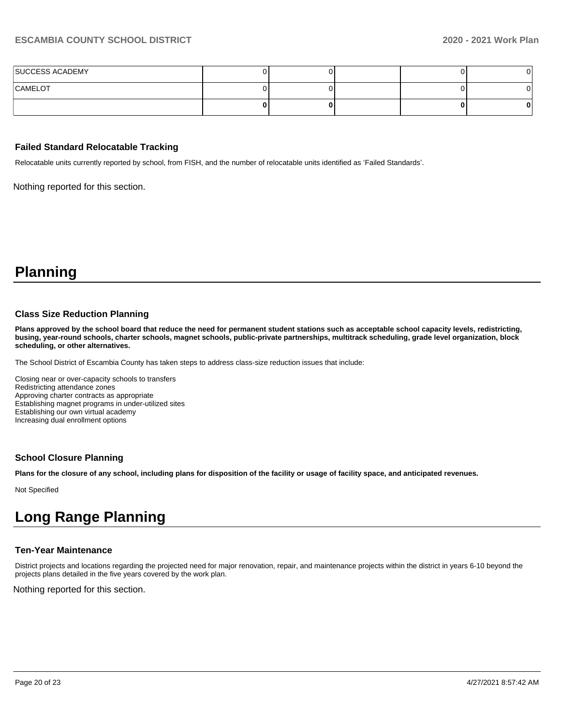| SUCCESS ACADEMY |  |  |  |
|-----------------|--|--|--|
| CAMELOT         |  |  |  |
|                 |  |  |  |

#### **Failed Standard Relocatable Tracking**

Relocatable units currently reported by school, from FISH, and the number of relocatable units identified as 'Failed Standards'.

Nothing reported for this section.

# **Planning**

#### **Class Size Reduction Planning**

**Plans approved by the school board that reduce the need for permanent student stations such as acceptable school capacity levels, redistricting, busing, year-round schools, charter schools, magnet schools, public-private partnerships, multitrack scheduling, grade level organization, block scheduling, or other alternatives.**

The School District of Escambia County has taken steps to address class-size reduction issues that include:

Closing near or over-capacity schools to transfers Redistricting attendance zones Approving charter contracts as appropriate Establishing magnet programs in under-utilized sites Establishing our own virtual academy Increasing dual enrollment options

#### **School Closure Planning**

**Plans for the closure of any school, including plans for disposition of the facility or usage of facility space, and anticipated revenues.** 

Not Specified

# **Long Range Planning**

#### **Ten-Year Maintenance**

District projects and locations regarding the projected need for major renovation, repair, and maintenance projects within the district in years 6-10 beyond the projects plans detailed in the five years covered by the work plan.

Nothing reported for this section.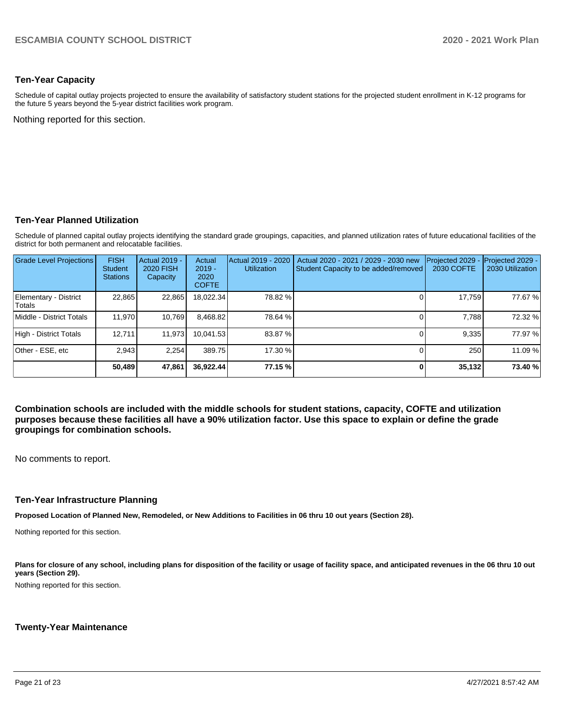### **Ten-Year Capacity**

Schedule of capital outlay projects projected to ensure the availability of satisfactory student stations for the projected student enrollment in K-12 programs for the future 5 years beyond the 5-year district facilities work program.

Nothing reported for this section.

#### **Ten-Year Planned Utilization**

Schedule of planned capital outlay projects identifying the standard grade groupings, capacities, and planned utilization rates of future educational facilities of the district for both permanent and relocatable facilities.

| <b>Grade Level Projections</b>   | <b>FISH</b><br><b>Student</b><br><b>Stations</b> | <b>Actual 2019 -</b><br><b>2020 FISH</b><br>Capacity | Actual<br>$2019 -$<br>2020<br><b>COFTE</b> | Actual 2019 - 2020<br><b>Utilization</b> | Actual 2020 - 2021 / 2029 - 2030 new<br>Student Capacity to be added/removed | Projected 2029<br>2030 COFTE | Projected 2029 -<br>2030 Utilization |
|----------------------------------|--------------------------------------------------|------------------------------------------------------|--------------------------------------------|------------------------------------------|------------------------------------------------------------------------------|------------------------------|--------------------------------------|
| Elementary - District<br>lTotals | 22,865                                           | 22,865                                               | 18,022.34                                  | 78.82 %                                  |                                                                              | 17,759                       | 77.67 %                              |
| Middle - District Totals         | 11.970                                           | 10,769                                               | 8.468.82                                   | 78.64 %                                  |                                                                              | 7.788                        | 72.32 %                              |
| High - District Totals           | 12.711                                           | 11,973                                               | 10.041.53                                  | 83.87 %                                  |                                                                              | 9,335                        | 77.97 %                              |
| Other - ESE, etc                 | 2.943                                            | 2.254                                                | 389.75                                     | 17.30 %                                  |                                                                              | 250                          | 11.09 %                              |
|                                  | 50,489                                           | 47,861                                               | 36.922.44                                  | 77.15 %                                  |                                                                              | 35,132                       | 73.40 %                              |

**Combination schools are included with the middle schools for student stations, capacity, COFTE and utilization purposes because these facilities all have a 90% utilization factor. Use this space to explain or define the grade groupings for combination schools.** 

No comments to report.

#### **Ten-Year Infrastructure Planning**

**Proposed Location of Planned New, Remodeled, or New Additions to Facilities in 06 thru 10 out years (Section 28).**

Nothing reported for this section.

Plans for closure of any school, including plans for disposition of the facility or usage of facility space, and anticipated revenues in the 06 thru 10 out **years (Section 29).**

Nothing reported for this section.

#### **Twenty-Year Maintenance**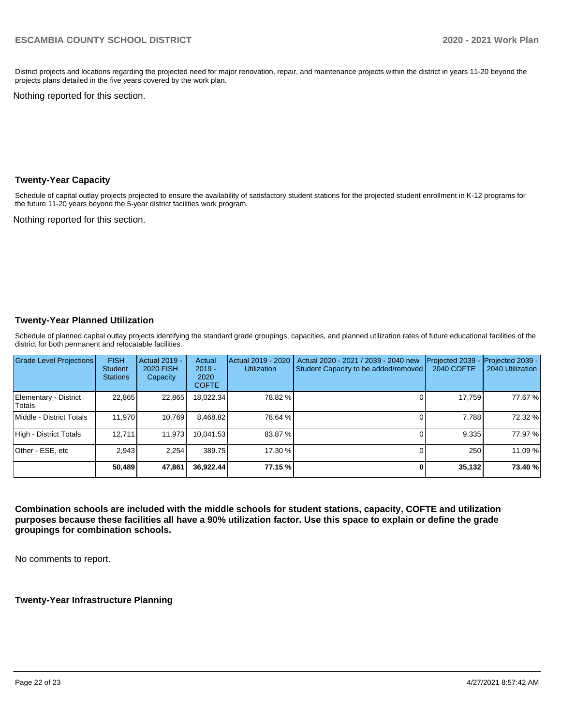District projects and locations regarding the projected need for major renovation, repair, and maintenance projects within the district in years 11-20 beyond the projects plans detailed in the five years covered by the work plan.

Nothing reported for this section.

#### **Twenty-Year Capacity**

Schedule of capital outlay projects projected to ensure the availability of satisfactory student stations for the projected student enrollment in K-12 programs for the future 11-20 years beyond the 5-year district facilities work program.

Nothing reported for this section.

### **Twenty-Year Planned Utilization**

Schedule of planned capital outlay projects identifying the standard grade groupings, capacities, and planned utilization rates of future educational facilities of the district for both permanent and relocatable facilities.

| <b>Grade Level Projections</b>   | <b>FISH</b><br><b>Student</b><br><b>Stations</b> | <b>Actual 2019 -</b><br><b>2020 FISH</b><br>Capacity | Actual<br>$2019 -$<br>2020<br><b>COFTE</b> | Actual 2019 - 2020<br><b>Utilization</b> | Actual 2020 - 2021 / 2039 - 2040 new<br>Student Capacity to be added/removed | Projected 2039<br>2040 COFTE | Projected 2039 -<br>2040 Utilization |
|----------------------------------|--------------------------------------------------|------------------------------------------------------|--------------------------------------------|------------------------------------------|------------------------------------------------------------------------------|------------------------------|--------------------------------------|
| Elementary - District<br>lTotals | 22.865                                           | 22,865                                               | 18,022.34                                  | 78.82 %                                  |                                                                              | 17,759                       | 77.67 %                              |
| Middle - District Totals         | 11.970                                           | 10.769                                               | 8.468.82                                   | 78.64 %                                  |                                                                              | 7.788                        | 72.32 %                              |
| High - District Totals           | 12.711                                           | 11.973                                               | 10.041.53                                  | 83.87 %                                  |                                                                              | 9.335                        | 77.97 %                              |
| Other - ESE, etc                 | 2.943                                            | 2.254                                                | 389.75                                     | 17.30 %                                  |                                                                              | 250                          | 11.09 %                              |
|                                  | 50,489                                           | 47,861                                               | 36,922.44                                  | 77.15 %                                  |                                                                              | 35,132                       | 73.40 %                              |

**Combination schools are included with the middle schools for student stations, capacity, COFTE and utilization purposes because these facilities all have a 90% utilization factor. Use this space to explain or define the grade groupings for combination schools.** 

No comments to report.

**Twenty-Year Infrastructure Planning**